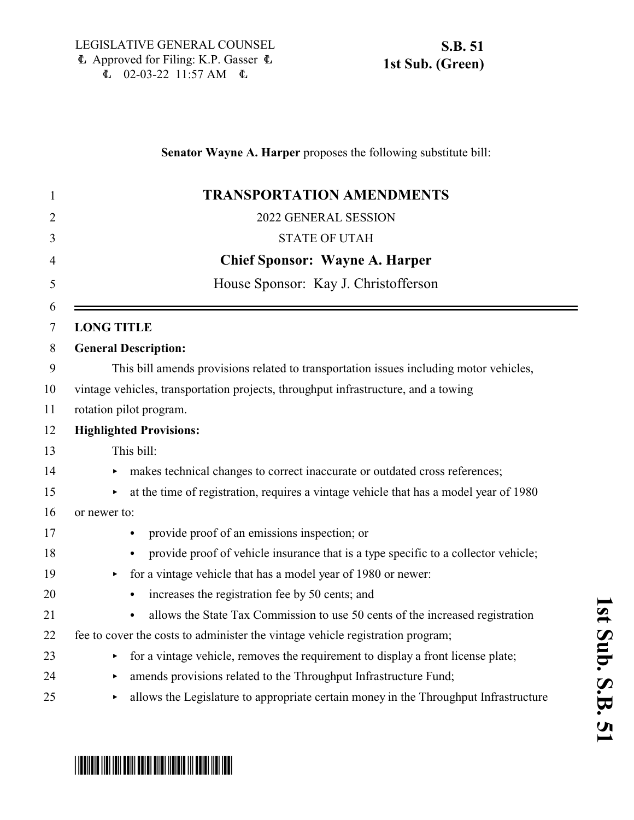# **Senator Wayne A. Harper** proposes the following substitute bill: 1 **TRANSPORTATION AMENDMENTS** 2 2022 GENERAL SESSION 3 STATE OF UTAH 4 **Chief Sponsor: Wayne A. Harper** 5 House Sponsor: Kay J. Christofferson 6 7 **LONG TITLE** 8 **General Description:** 9 This bill amends provisions related to transportation issues including motor vehicles, 10 vintage vehicles, transportation projects, throughput infrastructure, and a towing 11 rotation pilot program. 12 **Highlighted Provisions:** 13 This bill: 14 makes technical changes to correct inaccurate or outdated cross references; 15 **a** at the time of registration, requires a vintage vehicle that has a model year of 1980 16 or newer to: 17 vector provide proof of an emissions inspection; or 18 C provide proof of vehicle insurance that is a type specific to a collector vehicle; 19 < for a vintage vehicle that has a model year of 1980 or newer: 20 • increases the registration fee by 50 cents; and <sup>21</sup> allows the State Tax Commission to use 50 cents of the increased registration 22 fee to cover the costs to administer the vintage vehicle registration program;  $23$  for a vintage vehicle, removes the requirement to display a front license plate; 24 mends provisions related to the Throughput Infrastructure Fund; <sup>25</sup> allows the Legislature to appropriate certain money in the Throughput Infrastructure

# \*SB0051S01\*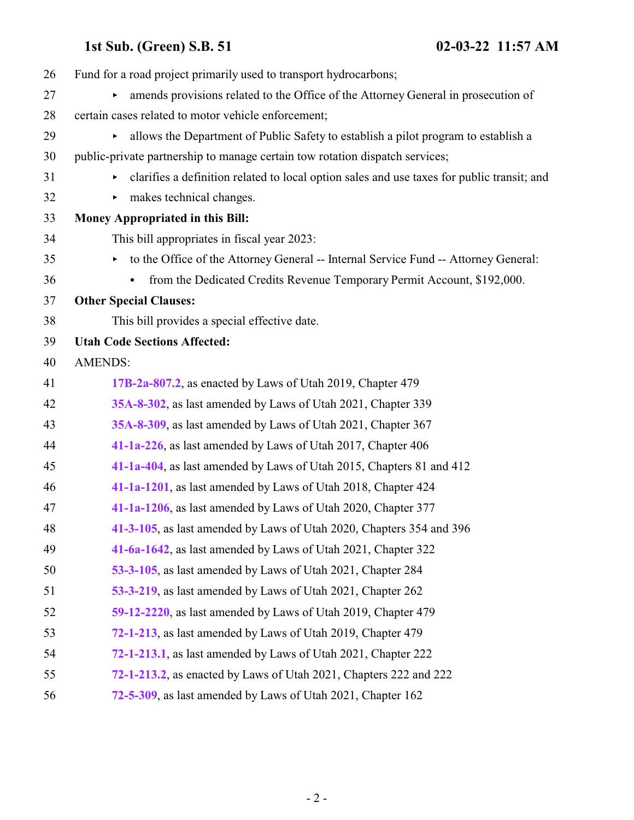| 26 | Fund for a road project primarily used to transport hydrocarbons;                          |
|----|--------------------------------------------------------------------------------------------|
| 27 | amends provisions related to the Office of the Attorney General in prosecution of<br>Þ     |
| 28 | certain cases related to motor vehicle enforcement;                                        |
| 29 | allows the Department of Public Safety to establish a pilot program to establish a<br>▶    |
| 30 | public-private partnership to manage certain tow rotation dispatch services;               |
| 31 | clarifies a definition related to local option sales and use taxes for public transit; and |
| 32 | makes technical changes.<br>▶                                                              |
| 33 | Money Appropriated in this Bill:                                                           |
| 34 | This bill appropriates in fiscal year 2023:                                                |
| 35 | to the Office of the Attorney General -- Internal Service Fund -- Attorney General:<br>▶   |
| 36 | from the Dedicated Credits Revenue Temporary Permit Account, \$192,000.                    |
| 37 | <b>Other Special Clauses:</b>                                                              |
| 38 | This bill provides a special effective date.                                               |
| 39 | <b>Utah Code Sections Affected:</b>                                                        |
| 40 | <b>AMENDS:</b>                                                                             |
| 41 | 17B-2a-807.2, as enacted by Laws of Utah 2019, Chapter 479                                 |
| 42 | 35A-8-302, as last amended by Laws of Utah 2021, Chapter 339                               |
| 43 | 35A-8-309, as last amended by Laws of Utah 2021, Chapter 367                               |
| 44 | 41-1a-226, as last amended by Laws of Utah 2017, Chapter 406                               |
| 45 | 41-1a-404, as last amended by Laws of Utah 2015, Chapters 81 and 412                       |
| 46 | 41-1a-1201, as last amended by Laws of Utah 2018, Chapter 424                              |
| 47 | 41-1a-1206, as last amended by Laws of Utah 2020, Chapter 377                              |
| 48 | 41-3-105, as last amended by Laws of Utah 2020, Chapters 354 and 396                       |
| 49 | 41-6a-1642, as last amended by Laws of Utah 2021, Chapter 322                              |
| 50 | 53-3-105, as last amended by Laws of Utah 2021, Chapter 284                                |
| 51 | 53-3-219, as last amended by Laws of Utah 2021, Chapter 262                                |
| 52 | 59-12-2220, as last amended by Laws of Utah 2019, Chapter 479                              |
| 53 | 72-1-213, as last amended by Laws of Utah 2019, Chapter 479                                |
| 54 | 72-1-213.1, as last amended by Laws of Utah 2021, Chapter 222                              |
| 55 | 72-1-213.2, as enacted by Laws of Utah 2021, Chapters 222 and 222                          |
| 56 | 72-5-309, as last amended by Laws of Utah 2021, Chapter 162                                |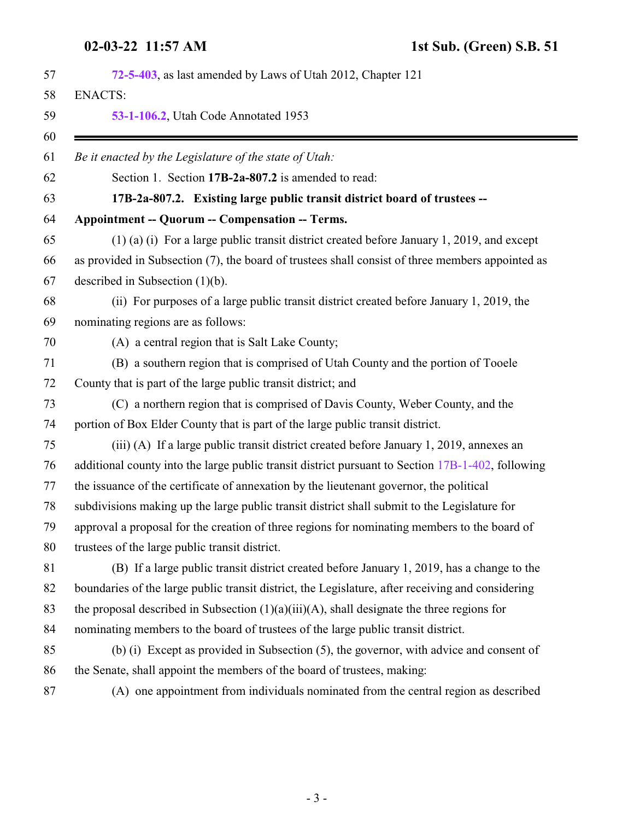<span id="page-2-0"></span>

| 72-5-403, as last amended by Laws of Utah 2012, Chapter 121                                       |
|---------------------------------------------------------------------------------------------------|
| <b>ENACTS:</b>                                                                                    |
| 53-1-106.2, Utah Code Annotated 1953                                                              |
| Be it enacted by the Legislature of the state of Utah:                                            |
| Section 1. Section 17B-2a-807.2 is amended to read:                                               |
| 17B-2a-807.2. Existing large public transit district board of trustees --                         |
| <b>Appointment -- Quorum -- Compensation -- Terms.</b>                                            |
| $(1)$ (a) (i) For a large public transit district created before January 1, 2019, and except      |
| as provided in Subsection (7), the board of trustees shall consist of three members appointed as  |
| described in Subsection $(1)(b)$ .                                                                |
| (ii) For purposes of a large public transit district created before January 1, 2019, the          |
| nominating regions are as follows:                                                                |
| (A) a central region that is Salt Lake County;                                                    |
| (B) a southern region that is comprised of Utah County and the portion of Tooele                  |
| County that is part of the large public transit district; and                                     |
| (C) a northern region that is comprised of Davis County, Weber County, and the                    |
| portion of Box Elder County that is part of the large public transit district.                    |
| (iii) (A) If a large public transit district created before January 1, 2019, annexes an           |
| additional county into the large public transit district pursuant to Section 17B-1-402, following |
| the issuance of the certificate of annexation by the lieutenant governor, the political           |
| subdivisions making up the large public transit district shall submit to the Legislature for      |
| approval a proposal for the creation of three regions for nominating members to the board of      |
| trustees of the large public transit district.                                                    |
| (B) If a large public transit district created before January 1, 2019, has a change to the        |
| boundaries of the large public transit district, the Legislature, after receiving and considering |
| the proposal described in Subsection $(1)(a)(iii)(A)$ , shall designate the three regions for     |
| nominating members to the board of trustees of the large public transit district.                 |
| (b) (i) Except as provided in Subsection (5), the governor, with advice and consent of            |
| the Senate, shall appoint the members of the board of trustees, making:                           |
| (A) one appointment from individuals nominated from the central region as described               |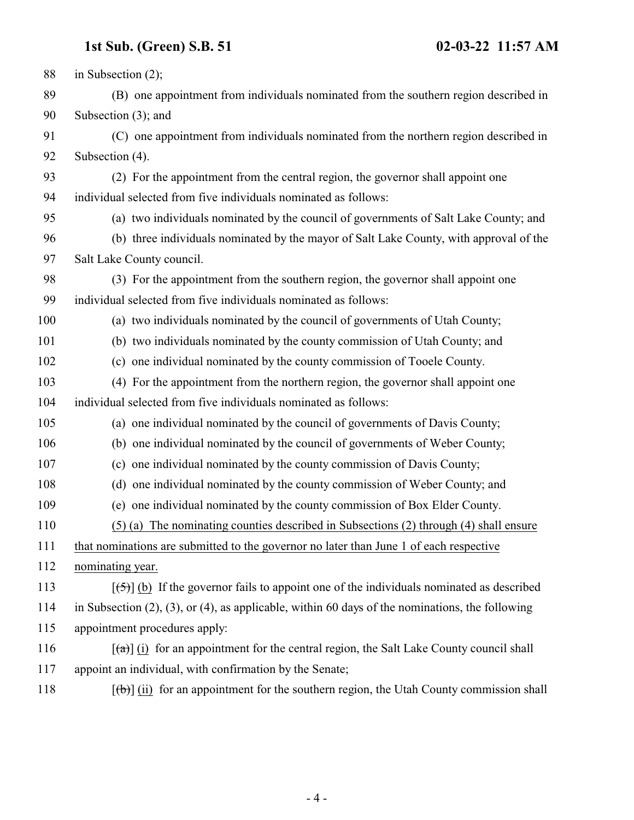| 88  | in Subsection $(2)$ ;                                                                                           |
|-----|-----------------------------------------------------------------------------------------------------------------|
| 89  | (B) one appointment from individuals nominated from the southern region described in                            |
| 90  | Subsection $(3)$ ; and                                                                                          |
| 91  | (C) one appointment from individuals nominated from the northern region described in                            |
| 92  | Subsection (4).                                                                                                 |
| 93  | (2) For the appointment from the central region, the governor shall appoint one                                 |
| 94  | individual selected from five individuals nominated as follows:                                                 |
| 95  | (a) two individuals nominated by the council of governments of Salt Lake County; and                            |
| 96  | (b) three individuals nominated by the mayor of Salt Lake County, with approval of the                          |
| 97  | Salt Lake County council.                                                                                       |
| 98  | (3) For the appointment from the southern region, the governor shall appoint one                                |
| 99  | individual selected from five individuals nominated as follows:                                                 |
| 100 | (a) two individuals nominated by the council of governments of Utah County;                                     |
| 101 | (b) two individuals nominated by the county commission of Utah County; and                                      |
| 102 | (c) one individual nominated by the county commission of Tooele County.                                         |
| 103 | (4) For the appointment from the northern region, the governor shall appoint one                                |
| 104 | individual selected from five individuals nominated as follows:                                                 |
| 105 | (a) one individual nominated by the council of governments of Davis County;                                     |
| 106 | (b) one individual nominated by the council of governments of Weber County;                                     |
| 107 | (c) one individual nominated by the county commission of Davis County;                                          |
| 108 | (d) one individual nominated by the county commission of Weber County; and                                      |
| 109 | (e) one individual nominated by the county commission of Box Elder County.                                      |
| 110 | (5) (a) The nominating counties described in Subsections (2) through (4) shall ensure                           |
| 111 | that nominations are submitted to the governor no later than June 1 of each respective                          |
| 112 | nominating year.                                                                                                |
| 113 | $[\frac{1}{2}, \frac{1}{2}]$ (b) If the governor fails to appoint one of the individuals nominated as described |
| 114 | in Subsection $(2)$ , $(3)$ , or $(4)$ , as applicable, within 60 days of the nominations, the following        |
| 115 | appointment procedures apply:                                                                                   |
| 116 | $\lceil$ (a) (i) for an appointment for the central region, the Salt Lake County council shall                  |
| 117 | appoint an individual, with confirmation by the Senate;                                                         |
| 118 | $[\phi]$ (ii) for an appointment for the southern region, the Utah County commission shall                      |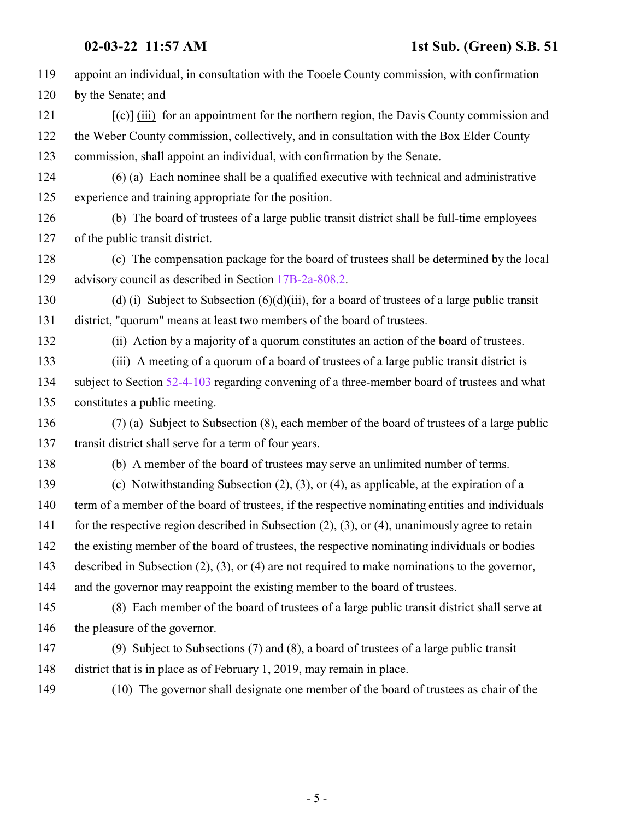| 119 | appoint an individual, in consultation with the Tooele County commission, with confirmation              |
|-----|----------------------------------------------------------------------------------------------------------|
| 120 | by the Senate; and                                                                                       |
| 121 | $[\text{e}(\text{e})]$ (iii) for an appointment for the northern region, the Davis County commission and |
| 122 | the Weber County commission, collectively, and in consultation with the Box Elder County                 |
| 123 | commission, shall appoint an individual, with confirmation by the Senate.                                |
| 124 | $(6)$ (a) Each nominee shall be a qualified executive with technical and administrative                  |
| 125 | experience and training appropriate for the position.                                                    |
| 126 | (b) The board of trustees of a large public transit district shall be full-time employees                |
| 127 | of the public transit district.                                                                          |
| 128 | (c) The compensation package for the board of trustees shall be determined by the local                  |
| 129 | advisory council as described in Section 17B-2a-808.2.                                                   |
| 130 | (d) (i) Subject to Subsection $(6)(d)(iii)$ , for a board of trustees of a large public transit          |
| 131 | district, "quorum" means at least two members of the board of trustees.                                  |
| 132 | (ii) Action by a majority of a quorum constitutes an action of the board of trustees.                    |
| 133 | (iii) A meeting of a quorum of a board of trustees of a large public transit district is                 |
| 134 | subject to Section 52-4-103 regarding convening of a three-member board of trustees and what             |
| 135 | constitutes a public meeting.                                                                            |
| 136 | (7) (a) Subject to Subsection (8), each member of the board of trustees of a large public                |
| 137 | transit district shall serve for a term of four years.                                                   |
| 138 | (b) A member of the board of trustees may serve an unlimited number of terms.                            |
| 139 | (c) Notwithstanding Subsection $(2)$ , $(3)$ , or $(4)$ , as applicable, at the expiration of a          |
| 140 | term of a member of the board of trustees, if the respective nominating entities and individuals         |
| 141 | for the respective region described in Subsection $(2)$ , $(3)$ , or $(4)$ , unanimously agree to retain |
| 142 | the existing member of the board of trustees, the respective nominating individuals or bodies            |
| 143 | described in Subsection $(2)$ , $(3)$ , or $(4)$ are not required to make nominations to the governor,   |
| 144 | and the governor may reappoint the existing member to the board of trustees.                             |
| 145 | (8) Each member of the board of trustees of a large public transit district shall serve at               |
| 146 | the pleasure of the governor.                                                                            |
| 147 | (9) Subject to Subsections (7) and (8), a board of trustees of a large public transit                    |
| 148 | district that is in place as of February 1, 2019, may remain in place.                                   |
| 149 | (10) The governor shall designate one member of the board of trustees as chair of the                    |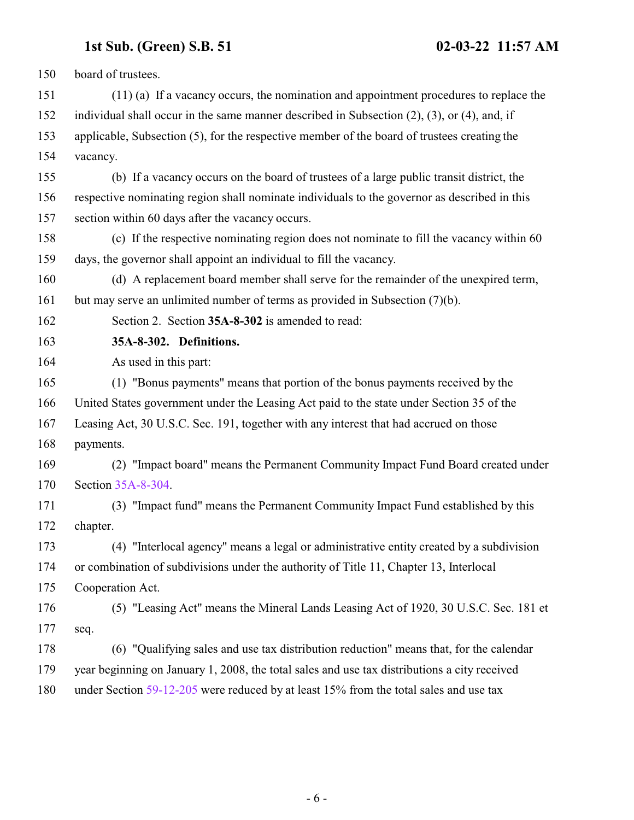<span id="page-5-0"></span>

| 150 | board of trustees.                                                                                   |
|-----|------------------------------------------------------------------------------------------------------|
| 151 | $(11)$ (a) If a vacancy occurs, the nomination and appointment procedures to replace the             |
| 152 | individual shall occur in the same manner described in Subsection $(2)$ , $(3)$ , or $(4)$ , and, if |
| 153 | applicable, Subsection (5), for the respective member of the board of trustees creating the          |
| 154 | vacancy.                                                                                             |
| 155 | (b) If a vacancy occurs on the board of trustees of a large public transit district, the             |
| 156 | respective nominating region shall nominate individuals to the governor as described in this         |
| 157 | section within 60 days after the vacancy occurs.                                                     |
| 158 | (c) If the respective nominating region does not nominate to fill the vacancy within 60              |
| 159 | days, the governor shall appoint an individual to fill the vacancy.                                  |
| 160 | (d) A replacement board member shall serve for the remainder of the unexpired term,                  |
| 161 | but may serve an unlimited number of terms as provided in Subsection (7)(b).                         |
| 162 | Section 2. Section 35A-8-302 is amended to read:                                                     |
| 163 | 35A-8-302. Definitions.                                                                              |
| 164 | As used in this part:                                                                                |
| 165 | (1) "Bonus payments" means that portion of the bonus payments received by the                        |
| 166 | United States government under the Leasing Act paid to the state under Section 35 of the             |
| 167 | Leasing Act, 30 U.S.C. Sec. 191, together with any interest that had accrued on those                |
| 168 | payments.                                                                                            |
| 169 | (2) "Impact board" means the Permanent Community Impact Fund Board created under                     |
| 170 | Section 35A-8-304.                                                                                   |
| 171 | (3) "Impact fund" means the Permanent Community Impact Fund established by this                      |
| 172 | chapter.                                                                                             |
| 173 | (4) "Interlocal agency" means a legal or administrative entity created by a subdivision              |
| 174 | or combination of subdivisions under the authority of Title 11, Chapter 13, Interlocal               |
| 175 | Cooperation Act.                                                                                     |
| 176 | (5) "Leasing Act" means the Mineral Lands Leasing Act of 1920, 30 U.S.C. Sec. 181 et                 |
| 177 | seq.                                                                                                 |
| 178 | (6) "Qualifying sales and use tax distribution reduction" means that, for the calendar               |
| 179 | year beginning on January 1, 2008, the total sales and use tax distributions a city received         |
| 180 | under Section 59-12-205 were reduced by at least 15% from the total sales and use tax                |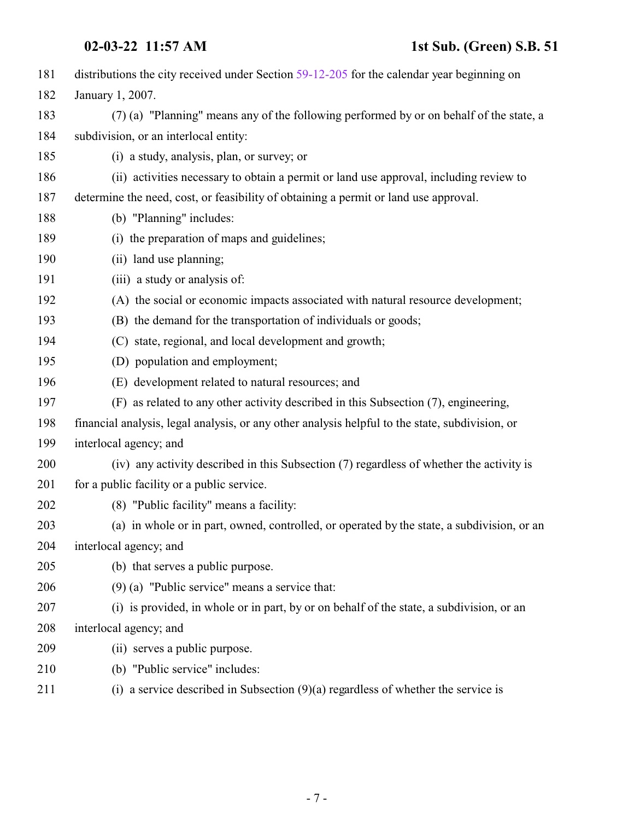| 181 | distributions the city received under Section 59-12-205 for the calendar year beginning on      |
|-----|-------------------------------------------------------------------------------------------------|
| 182 | January 1, 2007.                                                                                |
| 183 | (7) (a) "Planning" means any of the following performed by or on behalf of the state, a         |
| 184 | subdivision, or an interlocal entity:                                                           |
| 185 | (i) a study, analysis, plan, or survey; or                                                      |
| 186 | (ii) activities necessary to obtain a permit or land use approval, including review to          |
| 187 | determine the need, cost, or feasibility of obtaining a permit or land use approval.            |
| 188 | (b) "Planning" includes:                                                                        |
| 189 | (i) the preparation of maps and guidelines;                                                     |
| 190 | (ii) land use planning;                                                                         |
| 191 | (iii) a study or analysis of:                                                                   |
| 192 | (A) the social or economic impacts associated with natural resource development;                |
| 193 | (B) the demand for the transportation of individuals or goods;                                  |
| 194 | (C) state, regional, and local development and growth;                                          |
| 195 | (D) population and employment;                                                                  |
| 196 | (E) development related to natural resources; and                                               |
| 197 | (F) as related to any other activity described in this Subsection (7), engineering,             |
| 198 | financial analysis, legal analysis, or any other analysis helpful to the state, subdivision, or |
| 199 | interlocal agency; and                                                                          |
| 200 | (iv) any activity described in this Subsection (7) regardless of whether the activity is        |
| 201 | for a public facility or a public service.                                                      |
| 202 | (8) "Public facility" means a facility:                                                         |
| 203 | (a) in whole or in part, owned, controlled, or operated by the state, a subdivision, or an      |
| 204 | interlocal agency; and                                                                          |
| 205 | (b) that serves a public purpose.                                                               |
| 206 | $(9)$ (a) "Public service" means a service that:                                                |
| 207 | (i) is provided, in whole or in part, by or on behalf of the state, a subdivision, or an        |
| 208 | interlocal agency; and                                                                          |
| 209 | (ii) serves a public purpose.                                                                   |
| 210 | (b) "Public service" includes:                                                                  |
| 211 | (i) a service described in Subsection $(9)(a)$ regardless of whether the service is             |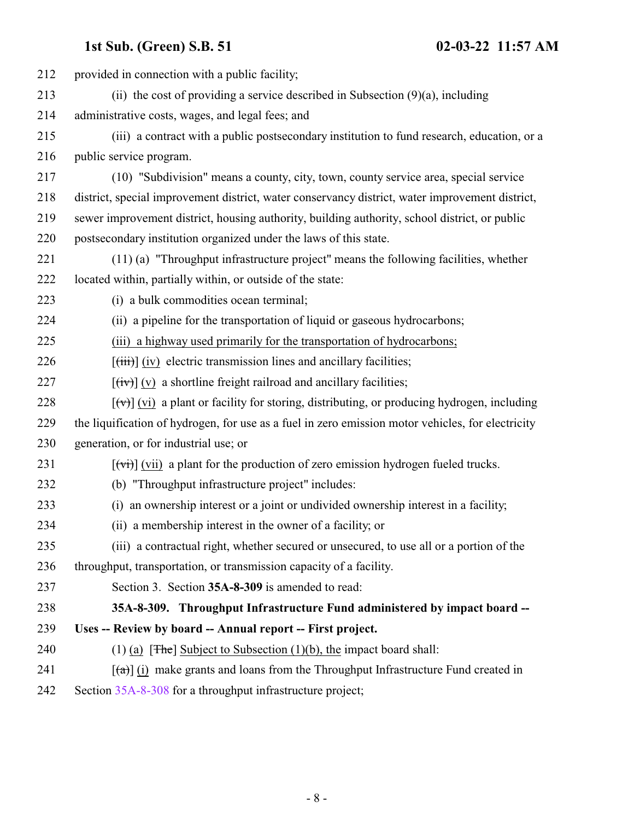<span id="page-7-0"></span>

| 212 | provided in connection with a public facility;                                                           |
|-----|----------------------------------------------------------------------------------------------------------|
| 213 | (ii) the cost of providing a service described in Subsection $(9)(a)$ , including                        |
| 214 | administrative costs, wages, and legal fees; and                                                         |
| 215 | (iii) a contract with a public postsecondary institution to fund research, education, or a               |
| 216 | public service program.                                                                                  |
| 217 | (10) "Subdivision" means a county, city, town, county service area, special service                      |
| 218 | district, special improvement district, water conservancy district, water improvement district,          |
| 219 | sewer improvement district, housing authority, building authority, school district, or public            |
| 220 | postsecondary institution organized under the laws of this state.                                        |
| 221 | (11) (a) "Throughput infrastructure project" means the following facilities, whether                     |
| 222 | located within, partially within, or outside of the state:                                               |
| 223 | (i) a bulk commodities ocean terminal;                                                                   |
| 224 | (ii) a pipeline for the transportation of liquid or gaseous hydrocarbons;                                |
| 225 | (iii) a highway used primarily for the transportation of hydrocarbons;                                   |
| 226 | $[\overrightarrow{tiii}]$ (iv) electric transmission lines and ancillary facilities;                     |
| 227 | $[\overline{({\rm iv})}]$ (v) a shortline freight railroad and ancillary facilities;                     |
| 228 | $[\forall \vec{v}]$ (vi) a plant or facility for storing, distributing, or producing hydrogen, including |
| 229 | the liquification of hydrogen, for use as a fuel in zero emission motor vehicles, for electricity        |
| 230 | generation, or for industrial use; or                                                                    |
| 231 | $\left[\overline{v_i}\right]$ (vii) a plant for the production of zero emission hydrogen fueled trucks.  |
| 232 | (b) "Throughput infrastructure project" includes:                                                        |
| 233 | (i) an ownership interest or a joint or undivided ownership interest in a facility;                      |
| 234 | (ii) a membership interest in the owner of a facility; or                                                |
| 235 | (iii) a contractual right, whether secured or unsecured, to use all or a portion of the                  |
| 236 | throughput, transportation, or transmission capacity of a facility.                                      |
| 237 | Section 3. Section 35A-8-309 is amended to read:                                                         |
| 238 | 35A-8-309. Throughput Infrastructure Fund administered by impact board --                                |
| 239 | Uses -- Review by board -- Annual report -- First project.                                               |
| 240 | (1) (a) $[$ The Subject to Subsection (1)(b), the impact board shall:                                    |
| 241 | $\lceil$ (a) (i) make grants and loans from the Throughput Infrastructure Fund created in                |
| 242 | Section 35A-8-308 for a throughput infrastructure project;                                               |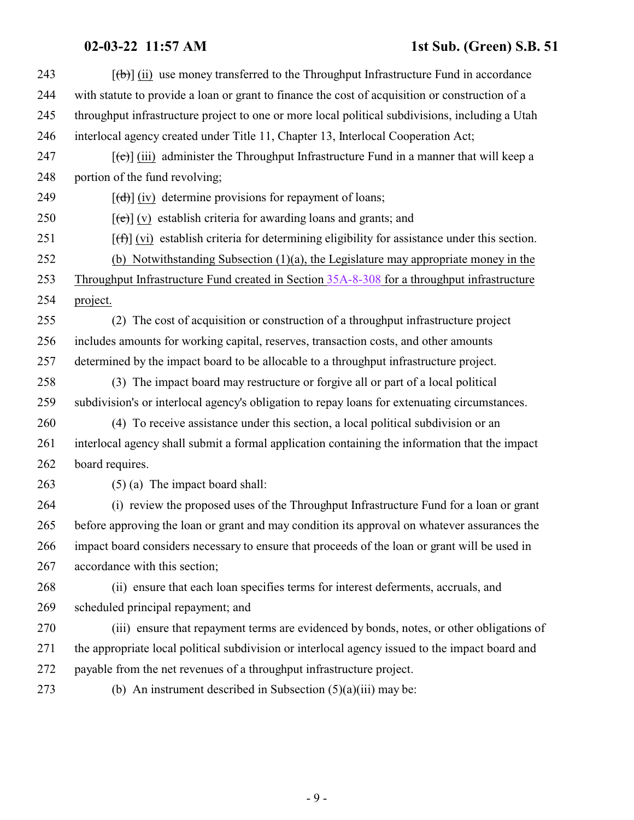# **02-03-22 11:57 AM 1st Sub. (Green) S.B. 51**

| $[\phi]$ (ii) use money transferred to the Throughput Infrastructure Fund in accordance                 |
|---------------------------------------------------------------------------------------------------------|
| with statute to provide a loan or grant to finance the cost of acquisition or construction of a         |
| throughput infrastructure project to one or more local political subdivisions, including a Utah         |
| interlocal agency created under Title 11, Chapter 13, Interlocal Cooperation Act;                       |
| $[\text{e}(\text{e})]$ (iii) administer the Throughput Infrastructure Fund in a manner that will keep a |
| portion of the fund revolving;                                                                          |
| $[\text{(\text{d})}]$ (iv) determine provisions for repayment of loans;                                 |
| $[\text{e}(\text{e})]$ (v) establish criteria for awarding loans and grants; and                        |
| $[f(f)]$ (vi) establish criteria for determining eligibility for assistance under this section.         |
| (b) Notwithstanding Subsection $(1)(a)$ , the Legislature may appropriate money in the                  |
| Throughput Infrastructure Fund created in Section 35A-8-308 for a throughput infrastructure             |
| project.                                                                                                |
| (2) The cost of acquisition or construction of a throughput infrastructure project                      |
| includes amounts for working capital, reserves, transaction costs, and other amounts                    |
| determined by the impact board to be allocable to a throughput infrastructure project.                  |
| (3) The impact board may restructure or forgive all or part of a local political                        |
| subdivision's or interlocal agency's obligation to repay loans for extenuating circumstances.           |
| (4) To receive assistance under this section, a local political subdivision or an                       |
| interlocal agency shall submit a formal application containing the information that the impact          |
| board requires.                                                                                         |
| $(5)$ (a) The impact board shall:                                                                       |
| (i) review the proposed uses of the Throughput Infrastructure Fund for a loan or grant                  |
| before approving the loan or grant and may condition its approval on whatever assurances the            |
| impact board considers necessary to ensure that proceeds of the loan or grant will be used in           |
| accordance with this section;                                                                           |
| (ii) ensure that each loan specifies terms for interest deferments, accruals, and                       |
| scheduled principal repayment; and                                                                      |
| (iii) ensure that repayment terms are evidenced by bonds, notes, or other obligations of                |
| the appropriate local political subdivision or interlocal agency issued to the impact board and         |
| payable from the net revenues of a throughput infrastructure project.                                   |
| (b) An instrument described in Subsection $(5)(a)(iii)$ may be:                                         |
|                                                                                                         |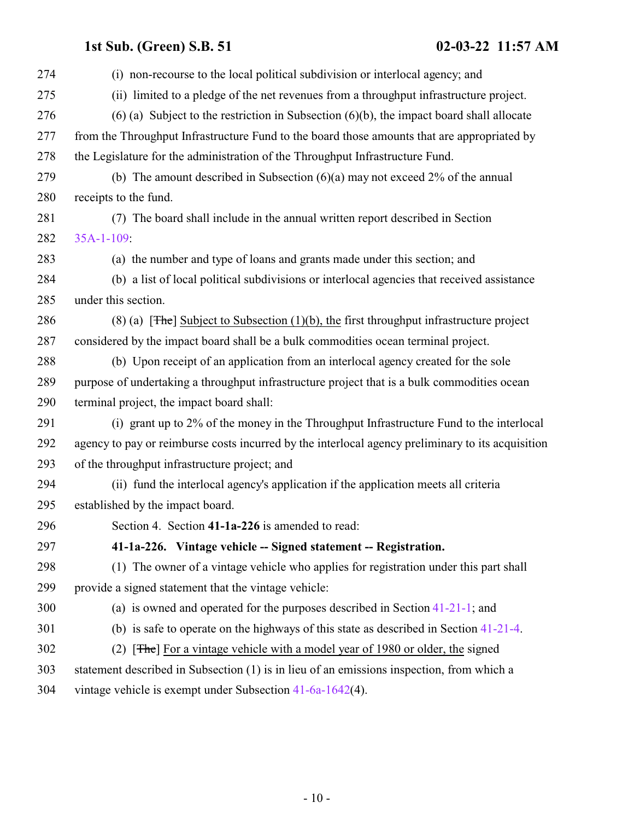<span id="page-9-0"></span> (i) non-recourse to the local political subdivision or interlocal agency; and (ii) limited to a pledge of the net revenues from a throughput infrastructure project. (6) (a) Subject to the restriction in Subsection (6)(b), the impact board shall allocate from the Throughput Infrastructure Fund to the board those amounts that are appropriated by the Legislature for the administration of the Throughput Infrastructure Fund. (b) The amount described in Subsection (6)(a) may not exceed 2% of the annual receipts to the fund. (7) The board shall include in the annual written report described in Section [35A-1-109](http://le.utah.gov/UtahCode/SectionLookup.jsp?section=35a-1-109&session=2022GS): (a) the number and type of loans and grants made under this section; and (b) a list of local political subdivisions or interlocal agencies that received assistance under this section. 286 (8) (a) [The] Subject to Subsection (1)(b), the first throughput infrastructure project considered by the impact board shall be a bulk commodities ocean terminal project. (b) Upon receipt of an application from an interlocal agency created for the sole purpose of undertaking a throughput infrastructure project that is a bulk commodities ocean terminal project, the impact board shall: (i) grant up to 2% of the money in the Throughput Infrastructure Fund to the interlocal agency to pay or reimburse costs incurred by the interlocal agency preliminary to its acquisition of the throughput infrastructure project; and (ii) fund the interlocal agency's application if the application meets all criteria established by the impact board. Section 4. Section **41-1a-226** is amended to read: **41-1a-226. Vintage vehicle -- Signed statement -- Registration.** (1) The owner of a vintage vehicle who applies for registration under this part shall provide a signed statement that the vintage vehicle: (a) is owned and operated for the purposes described in Section [41-21-1](http://le.utah.gov/UtahCode/SectionLookup.jsp?section=41-21-1&session=2022GS); and (b) is safe to operate on the highways of this state as described in Section [41-21-4](http://le.utah.gov/UtahCode/SectionLookup.jsp?section=41-21-4&session=2022GS). (2) [The] For a vintage vehicle with a model year of 1980 or older, the signed statement described in Subsection (1) is in lieu of an emissions inspection, from which a vintage vehicle is exempt under Subsection [41-6a-1642](#page-19-0)(4).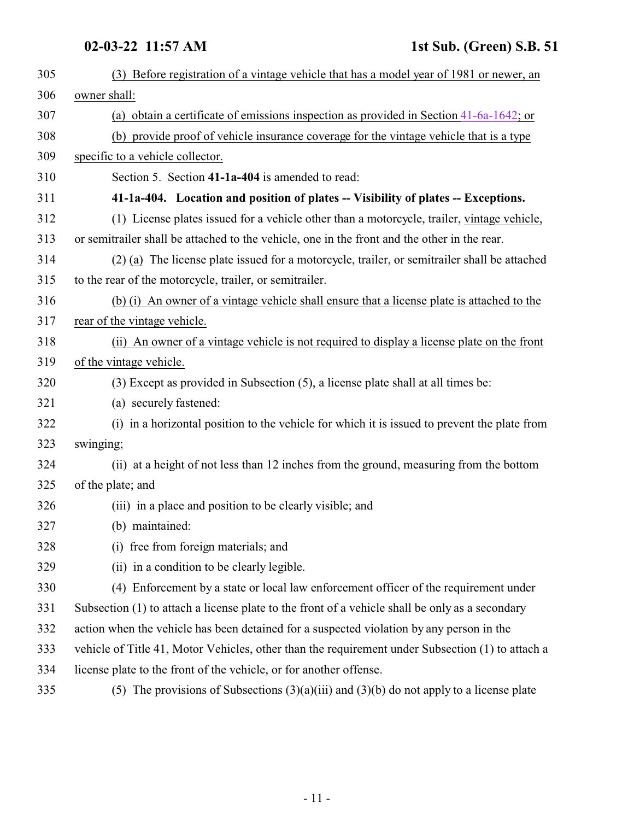<span id="page-10-0"></span>

| 305 | (3) Before registration of a vintage vehicle that has a model year of 1981 or newer, an          |
|-----|--------------------------------------------------------------------------------------------------|
| 306 | owner shall:                                                                                     |
| 307 | (a) obtain a certificate of emissions inspection as provided in Section $41-6a-1642$ ; or        |
| 308 | (b) provide proof of vehicle insurance coverage for the vintage vehicle that is a type           |
| 309 | specific to a vehicle collector.                                                                 |
| 310 | Section 5. Section 41-1a-404 is amended to read:                                                 |
| 311 | 41-1a-404. Location and position of plates -- Visibility of plates -- Exceptions.                |
| 312 | (1) License plates issued for a vehicle other than a motorcycle, trailer, vintage vehicle,       |
| 313 | or semitrailer shall be attached to the vehicle, one in the front and the other in the rear.     |
| 314 | (2) (a) The license plate issued for a motorcycle, trailer, or semitrailer shall be attached     |
| 315 | to the rear of the motorcycle, trailer, or semitrailer.                                          |
| 316 | (b) (i) An owner of a vintage vehicle shall ensure that a license plate is attached to the       |
| 317 | rear of the vintage vehicle.                                                                     |
| 318 | (ii) An owner of a vintage vehicle is not required to display a license plate on the front       |
| 319 | of the vintage vehicle.                                                                          |
| 320 | (3) Except as provided in Subsection (5), a license plate shall at all times be:                 |
| 321 | (a) securely fastened:                                                                           |
| 322 | (i) in a horizontal position to the vehicle for which it is issued to prevent the plate from     |
| 323 | swinging;                                                                                        |
| 324 | (ii) at a height of not less than 12 inches from the ground, measuring from the bottom           |
| 325 | of the plate; and                                                                                |
| 326 | (iii) in a place and position to be clearly visible; and                                         |
| 327 | (b) maintained:                                                                                  |
| 328 | (i) free from foreign materials; and                                                             |
| 329 | (ii) in a condition to be clearly legible.                                                       |
| 330 | (4) Enforcement by a state or local law enforcement officer of the requirement under             |
| 331 | Subsection (1) to attach a license plate to the front of a vehicle shall be only as a secondary  |
| 332 | action when the vehicle has been detained for a suspected violation by any person in the         |
| 333 | vehicle of Title 41, Motor Vehicles, other than the requirement under Subsection (1) to attach a |
| 334 | license plate to the front of the vehicle, or for another offense.                               |
| 335 | (5) The provisions of Subsections $(3)(a)(iii)$ and $(3)(b)$ do not apply to a license plate     |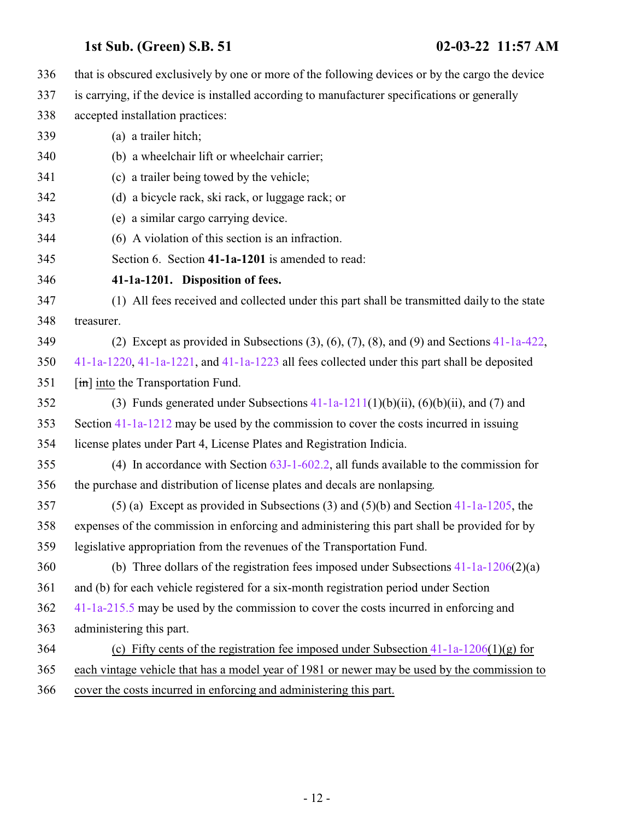<span id="page-11-0"></span> that is obscured exclusively by one or more of the following devices or by the cargo the device is carrying, if the device is installed according to manufacturer specifications or generally accepted installation practices: (a) a trailer hitch; (b) a wheelchair lift or wheelchair carrier; (c) a trailer being towed by the vehicle; (d) a bicycle rack, ski rack, or luggage rack; or (e) a similar cargo carrying device. (6) A violation of this section is an infraction. Section 6. Section **41-1a-1201** is amended to read: **41-1a-1201. Disposition of fees.** (1) All fees received and collected under this part shall be transmitted daily to the state treasurer. (2) Except as provided in Subsections (3), (6), (7), (8), and (9) and Sections [41-1a-422](http://le.utah.gov/UtahCode/SectionLookup.jsp?section=41-1a-422&session=2022GS), [41-1a-1220](http://le.utah.gov/UtahCode/SectionLookup.jsp?section=41-1a-1220&session=2022GS), [41-1a-1221](http://le.utah.gov/UtahCode/SectionLookup.jsp?section=41-1a-1221&session=2022GS), and [41-1a-1223](http://le.utah.gov/UtahCode/SectionLookup.jsp?section=41-1a-1223&session=2022GS) all fees collected under this part shall be deposited **[in]** into the Transportation Fund. 352 (3) Funds generated under Subsections  $41-1a-1211(1)(b)(ii)$ ,  $(6)(b)(ii)$ , and  $(7)$  and Section [41-1a-1212](http://le.utah.gov/UtahCode/SectionLookup.jsp?section=41-1a-1212&session=2022GS) may be used by the commission to cover the costs incurred in issuing license plates under Part 4, License Plates and Registration Indicia. (4) In accordance with Section [63J-1-602.2](http://le.utah.gov/UtahCode/SectionLookup.jsp?section=63j-1-602.2&session=2022GS), all funds available to the commission for the purchase and distribution of license plates and decals are nonlapsing. (5) (a) Except as provided in Subsections (3) and (5)(b) and Section [41-1a-1205](http://le.utah.gov/UtahCode/SectionLookup.jsp?section=41-1a-1205&session=2022GS), the expenses of the commission in enforcing and administering this part shall be provided for by legislative appropriation from the revenues of the Transportation Fund. (b) Three dollars of the registration fees imposed under Subsections [41-1a-1206](#page-13-0)(2)(a) and (b) for each vehicle registered for a six-month registration period under Section [41-1a-215.5](http://le.utah.gov/UtahCode/SectionLookup.jsp?section=41-1a-215.5&session=2022GS) may be used by the commission to cover the costs incurred in enforcing and administering this part. 364 (c) Fifty cents of the registration fee imposed under Subsection  $41-1a-1206(1)(g)$  for each vintage vehicle that has a model year of 1981 or newer may be used by the commission to cover the costs incurred in enforcing and administering this part.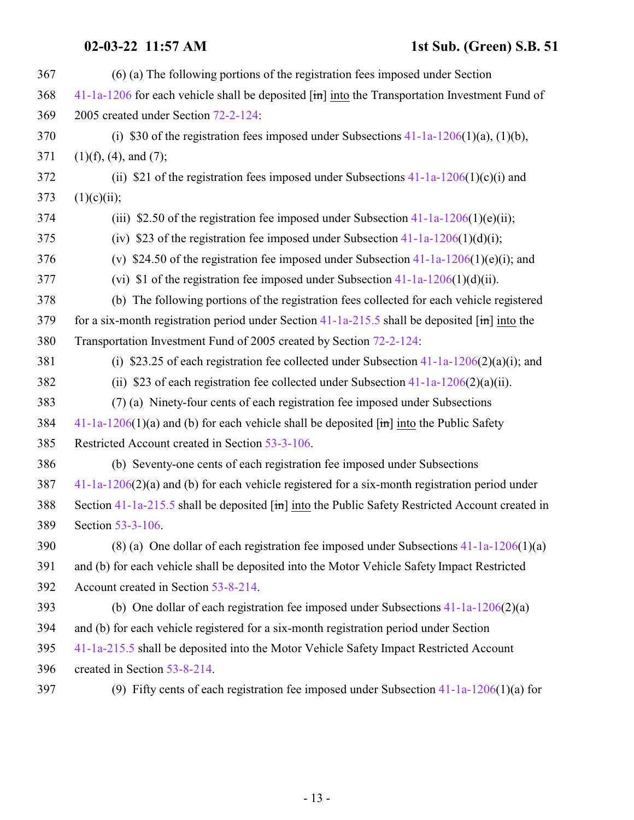### **02-03-22 11:57 AM 1st Sub. (Green) S.B. 51**

| 367 | (6) (a) The following portions of the registration fees imposed under Section                                           |
|-----|-------------------------------------------------------------------------------------------------------------------------|
| 368 | $41-1a-1206$ for each vehicle shall be deposited $[\text{im}]$ into the Transportation Investment Fund of               |
| 369 | 2005 created under Section 72-2-124:                                                                                    |
| 370 | (i) \$30 of the registration fees imposed under Subsections $41-1a-1206(1)(a)$ , $(1)(b)$ ,                             |
| 371 | $(1)(f)$ , $(4)$ , and $(7)$ ;                                                                                          |
| 372 | (ii) \$21 of the registration fees imposed under Subsections $41-1a-1206(1)(c)(i)$ and                                  |
| 373 | (1)(c)(ii);                                                                                                             |
| 374 | (iii) \$2.50 of the registration fee imposed under Subsection $41-1a-1206(1)(e)$ (ii);                                  |
| 375 | (iv) \$23 of the registration fee imposed under Subsection $41-1a-1206(1)(d)(i)$ ;                                      |
| 376 | (v) \$24.50 of the registration fee imposed under Subsection $41-1a-1206(1)(e)(i)$ ; and                                |
| 377 | (vi) \$1 of the registration fee imposed under Subsection $41-1a-1206(1)(d)(ii)$ .                                      |
| 378 | (b) The following portions of the registration fees collected for each vehicle registered                               |
| 379 | for a six-month registration period under Section $41$ -1a-215.5 shall be deposited $[\text{im}]$ into the              |
| 380 | Transportation Investment Fund of 2005 created by Section 72-2-124:                                                     |
| 381 | (i) \$23.25 of each registration fee collected under Subsection $41-1a-1206(2)(a)(i)$ ; and                             |
| 382 | (ii) \$23 of each registration fee collected under Subsection $41-1a-1206(2)(a)(ii)$ .                                  |
| 383 | (7) (a) Ninety-four cents of each registration fee imposed under Subsections                                            |
| 384 | $41-1a-1206(1)(a)$ and (b) for each vehicle shall be deposited $\overline{[m]}$ into the Public Safety                  |
| 385 | Restricted Account created in Section 53-3-106.                                                                         |
| 386 | (b) Seventy-one cents of each registration fee imposed under Subsections                                                |
| 387 | $41-1a-1206(2)(a)$ and (b) for each vehicle registered for a six-month registration period under                        |
| 388 | Section 41-1a-215.5 shall be deposited $\left[\frac{1}{2}m\right]$ into the Public Safety Restricted Account created in |
| 389 | Section 53-3-106.                                                                                                       |
| 390 | (8) (a) One dollar of each registration fee imposed under Subsections $41-1a-1206(1)(a)$                                |
| 391 | and (b) for each vehicle shall be deposited into the Motor Vehicle Safety Impact Restricted                             |
| 392 | Account created in Section 53-8-214.                                                                                    |
| 393 | (b) One dollar of each registration fee imposed under Subsections $41-1a-1206(2)(a)$                                    |
| 394 | and (b) for each vehicle registered for a six-month registration period under Section                                   |
| 395 | 41-1a-215.5 shall be deposited into the Motor Vehicle Safety Impact Restricted Account                                  |
| 396 | created in Section 53-8-214.                                                                                            |
|     |                                                                                                                         |

(9) Fifty cents of each registration fee imposed under Subsection [41-1a-1206](#page-13-0)(1)(a) for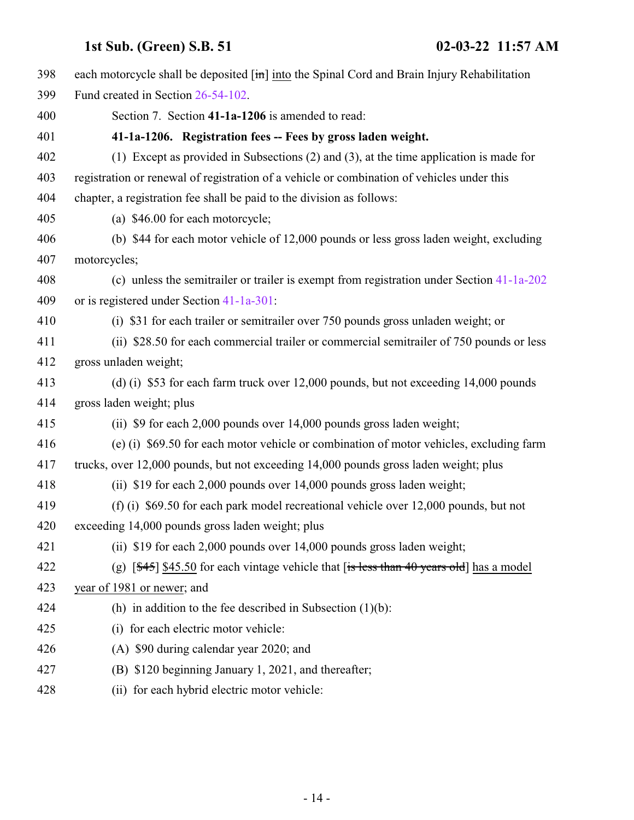<span id="page-13-0"></span>

| 398 | each motorcycle shall be deposited $\left[\frac{\text{in}}{\text{in}}\right]$ into the Spinal Cord and Brain Injury Rehabilitation |
|-----|------------------------------------------------------------------------------------------------------------------------------------|
| 399 | Fund created in Section 26-54-102.                                                                                                 |
| 400 | Section 7. Section 41-1a-1206 is amended to read:                                                                                  |
| 401 | 41-1a-1206. Registration fees -- Fees by gross laden weight.                                                                       |
| 402 | (1) Except as provided in Subsections (2) and (3), at the time application is made for                                             |
| 403 | registration or renewal of registration of a vehicle or combination of vehicles under this                                         |
| 404 | chapter, a registration fee shall be paid to the division as follows:                                                              |
| 405 | (a) \$46.00 for each motorcycle;                                                                                                   |
| 406 | (b) \$44 for each motor vehicle of 12,000 pounds or less gross laden weight, excluding                                             |
| 407 | motorcycles;                                                                                                                       |
| 408 | (c) unless the semitrailer or trailer is exempt from registration under Section 41-1a-202                                          |
| 409 | or is registered under Section 41-1a-301:                                                                                          |
| 410 | (i) \$31 for each trailer or semitrailer over 750 pounds gross unladen weight; or                                                  |
| 411 | (ii) \$28.50 for each commercial trailer or commercial semitrailer of 750 pounds or less                                           |
| 412 | gross unladen weight;                                                                                                              |
| 413 | (d) (i) \$53 for each farm truck over 12,000 pounds, but not exceeding 14,000 pounds                                               |
| 414 | gross laden weight; plus                                                                                                           |
| 415 | (ii) \$9 for each 2,000 pounds over 14,000 pounds gross laden weight;                                                              |
| 416 | (e) (i) \$69.50 for each motor vehicle or combination of motor vehicles, excluding farm                                            |
| 417 | trucks, over 12,000 pounds, but not exceeding 14,000 pounds gross laden weight; plus                                               |
| 418 | (ii) \$19 for each 2,000 pounds over 14,000 pounds gross laden weight;                                                             |
| 419 | (f) (i) \$69.50 for each park model recreational vehicle over 12,000 pounds, but not                                               |
| 420 | exceeding 14,000 pounds gross laden weight; plus                                                                                   |
| 421 | (ii) \$19 for each 2,000 pounds over 14,000 pounds gross laden weight;                                                             |
| 422 | (g) $[45]$ \$45.50 for each vintage vehicle that [is less than 40 years old] has a model                                           |
| 423 | year of 1981 or newer; and                                                                                                         |
| 424 | (h) in addition to the fee described in Subsection $(1)(b)$ :                                                                      |
| 425 | (i) for each electric motor vehicle:                                                                                               |
| 426 | (A) \$90 during calendar year 2020; and                                                                                            |
| 427 | (B) \$120 beginning January 1, 2021, and thereafter;                                                                               |
| 428 | (ii) for each hybrid electric motor vehicle:                                                                                       |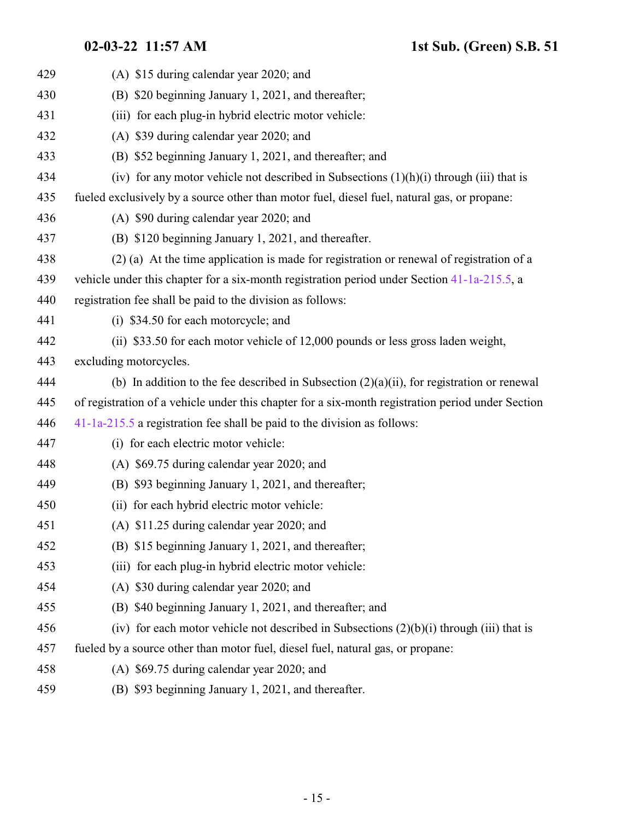| 429 | (A) \$15 during calendar year 2020; and                                                           |
|-----|---------------------------------------------------------------------------------------------------|
| 430 | (B) \$20 beginning January 1, 2021, and thereafter;                                               |
| 431 |                                                                                                   |
|     | (iii) for each plug-in hybrid electric motor vehicle:                                             |
| 432 | (A) \$39 during calendar year 2020; and                                                           |
| 433 | (B) \$52 beginning January 1, 2021, and thereafter; and                                           |
| 434 | (iv) for any motor vehicle not described in Subsections $(1)(h)(i)$ through (iii) that is         |
| 435 | fueled exclusively by a source other than motor fuel, diesel fuel, natural gas, or propane:       |
| 436 | (A) \$90 during calendar year 2020; and                                                           |
| 437 | (B) \$120 beginning January 1, 2021, and thereafter.                                              |
| 438 | (2) (a) At the time application is made for registration or renewal of registration of a          |
| 439 | vehicle under this chapter for a six-month registration period under Section 41-1a-215.5, a       |
| 440 | registration fee shall be paid to the division as follows:                                        |
| 441 | (i) \$34.50 for each motorcycle; and                                                              |
| 442 | (ii) \$33.50 for each motor vehicle of 12,000 pounds or less gross laden weight,                  |
| 443 | excluding motorcycles.                                                                            |
| 444 | (b) In addition to the fee described in Subsection $(2)(a)(ii)$ , for registration or renewal     |
| 445 | of registration of a vehicle under this chapter for a six-month registration period under Section |
| 446 | $41-1a-215.5$ a registration fee shall be paid to the division as follows:                        |
| 447 | (i) for each electric motor vehicle:                                                              |
| 448 | (A) \$69.75 during calendar year 2020; and                                                        |
| 449 | (B) \$93 beginning January 1, 2021, and thereafter;                                               |
| 450 | (ii) for each hybrid electric motor vehicle:                                                      |
| 451 | (A) \$11.25 during calendar year 2020; and                                                        |
| 452 | (B) \$15 beginning January 1, 2021, and thereafter;                                               |
| 453 | (iii) for each plug-in hybrid electric motor vehicle:                                             |
| 454 | (A) \$30 during calendar year 2020; and                                                           |
| 455 | (B) \$40 beginning January 1, 2021, and thereafter; and                                           |
| 456 | (iv) for each motor vehicle not described in Subsections $(2)(b)(i)$ through (iii) that is        |
| 457 | fueled by a source other than motor fuel, diesel fuel, natural gas, or propane:                   |
| 458 | (A) \$69.75 during calendar year 2020; and                                                        |
| 459 | (B) \$93 beginning January 1, 2021, and thereafter.                                               |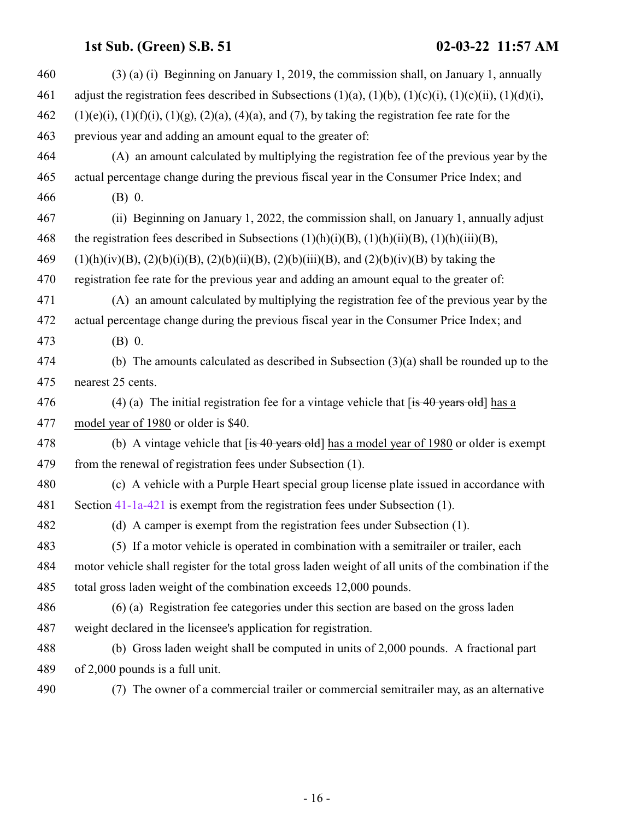| 460 | $(3)$ (a) (i) Beginning on January 1, 2019, the commission shall, on January 1, annually                               |
|-----|------------------------------------------------------------------------------------------------------------------------|
| 461 | adjust the registration fees described in Subsections $(1)(a)$ , $(1)(b)$ , $(1)(c)(i)$ , $(1)(c)(ii)$ , $(1)(d)(i)$ , |
| 462 | $(1)(e)(i)$ , $(1)(f)(i)$ , $(1)(g)$ , $(2)(a)$ , $(4)(a)$ , and $(7)$ , by taking the registration fee rate for the   |
| 463 | previous year and adding an amount equal to the greater of:                                                            |
| 464 | (A) an amount calculated by multiplying the registration fee of the previous year by the                               |
| 465 | actual percentage change during the previous fiscal year in the Consumer Price Index; and                              |
| 466 | $(B)$ 0.                                                                                                               |
| 467 | (ii) Beginning on January 1, 2022, the commission shall, on January 1, annually adjust                                 |
| 468 | the registration fees described in Subsections $(1)(h)(i)(B)$ , $(1)(h)(ii)(B)$ , $(1)(h)(iii)(B)$ ,                   |
| 469 | $(1)(h)(iv)(B), (2)(b)(i)(B), (2)(b)(ii)(B), (2)(b)(iii)(B), and (2)(b)(iv)(B)$ by taking the                          |
| 470 | registration fee rate for the previous year and adding an amount equal to the greater of:                              |
| 471 | (A) an amount calculated by multiplying the registration fee of the previous year by the                               |
| 472 | actual percentage change during the previous fiscal year in the Consumer Price Index; and                              |
| 473 | $(B)$ 0.                                                                                                               |
| 474 | (b) The amounts calculated as described in Subsection $(3)(a)$ shall be rounded up to the                              |
| 475 | nearest 25 cents.                                                                                                      |
| 476 | (4) (a) The initial registration fee for a vintage vehicle that $f$ is 40 years old has a                              |
| 477 | model year of 1980 or older is \$40.                                                                                   |
| 478 | (b) A vintage vehicle that $[$ is 40 years old] has a model year of 1980 or older is exempt                            |
| 479 | from the renewal of registration fees under Subsection (1).                                                            |
| 480 | (c) A vehicle with a Purple Heart special group license plate issued in accordance with                                |
| 481 | Section 41-1a-421 is exempt from the registration fees under Subsection (1).                                           |
| 482 | (d) A camper is exempt from the registration fees under Subsection (1).                                                |
| 483 | (5) If a motor vehicle is operated in combination with a semitrailer or trailer, each                                  |
| 484 | motor vehicle shall register for the total gross laden weight of all units of the combination if the                   |
| 485 | total gross laden weight of the combination exceeds 12,000 pounds.                                                     |
| 486 | (6) (a) Registration fee categories under this section are based on the gross laden                                    |
| 487 | weight declared in the licensee's application for registration.                                                        |
| 488 | (b) Gross laden weight shall be computed in units of 2,000 pounds. A fractional part                                   |
| 489 | of 2,000 pounds is a full unit.                                                                                        |
| 490 | (7) The owner of a commercial trailer or commercial semitrailer may, as an alternative                                 |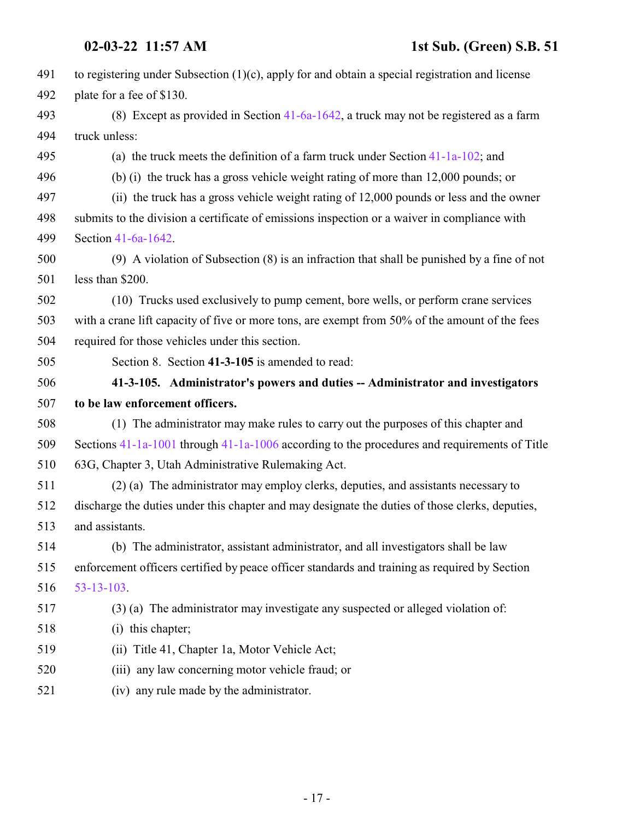<span id="page-16-0"></span>

| 491 | to registering under Subsection $(1)(c)$ , apply for and obtain a special registration and license |
|-----|----------------------------------------------------------------------------------------------------|
| 492 | plate for a fee of \$130.                                                                          |
| 493 | (8) Except as provided in Section $41-6a-1642$ , a truck may not be registered as a farm           |
| 494 | truck unless:                                                                                      |
| 495 | (a) the truck meets the definition of a farm truck under Section $41-1a-102$ ; and                 |
| 496 | (b) (i) the truck has a gross vehicle weight rating of more than 12,000 pounds; or                 |
| 497 | (ii) the truck has a gross vehicle weight rating of 12,000 pounds or less and the owner            |
| 498 | submits to the division a certificate of emissions inspection or a waiver in compliance with       |
| 499 | Section 41-6a-1642.                                                                                |
| 500 | $(9)$ A violation of Subsection $(8)$ is an infraction that shall be punished by a fine of not     |
| 501 | less than \$200.                                                                                   |
| 502 | (10) Trucks used exclusively to pump cement, bore wells, or perform crane services                 |
| 503 | with a crane lift capacity of five or more tons, are exempt from 50% of the amount of the fees     |
| 504 | required for those vehicles under this section.                                                    |
| 505 | Section 8. Section 41-3-105 is amended to read:                                                    |
|     |                                                                                                    |
| 506 | 41-3-105. Administrator's powers and duties -- Administrator and investigators                     |
| 507 | to be law enforcement officers.                                                                    |
| 508 | (1) The administrator may make rules to carry out the purposes of this chapter and                 |
| 509 | Sections $41-1a-1001$ through $41-1a-1006$ according to the procedures and requirements of Title   |
| 510 | 63G, Chapter 3, Utah Administrative Rulemaking Act.                                                |
| 511 | (2) (a) The administrator may employ clerks, deputies, and assistants necessary to                 |
| 512 | discharge the duties under this chapter and may designate the duties of those clerks, deputies,    |
| 513 | and assistants.                                                                                    |
| 514 | (b) The administrator, assistant administrator, and all investigators shall be law                 |
| 515 | enforcement officers certified by peace officer standards and training as required by Section      |
| 516 | $53 - 13 - 103$ .                                                                                  |
| 517 | (3) (a) The administrator may investigate any suspected or alleged violation of:                   |
| 518 | (i) this chapter;                                                                                  |
| 519 | Title 41, Chapter 1a, Motor Vehicle Act;<br>(i)                                                    |
| 520 | (iii) any law concerning motor vehicle fraud; or                                                   |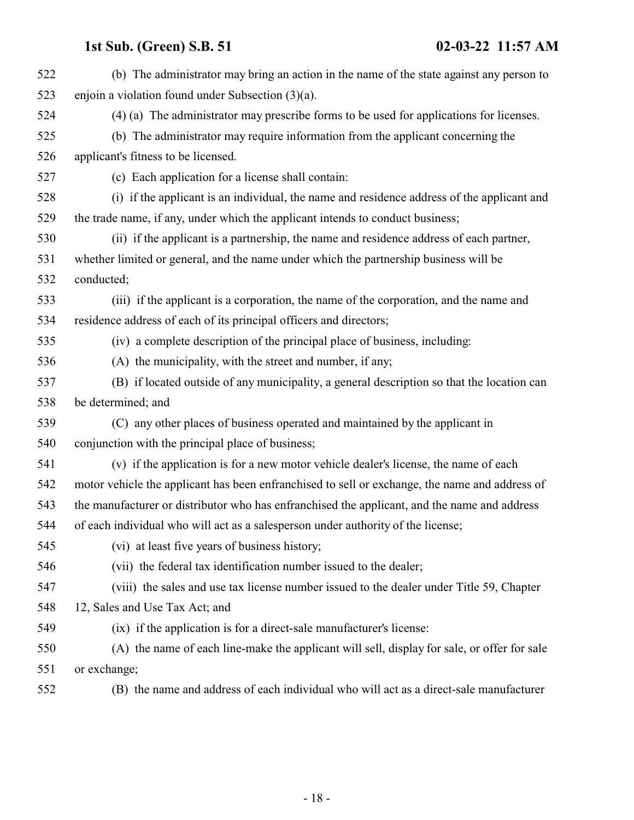| 522 | (b) The administrator may bring an action in the name of the state against any person to       |
|-----|------------------------------------------------------------------------------------------------|
| 523 | enjoin a violation found under Subsection $(3)(a)$ .                                           |
| 524 | (4) (a) The administrator may prescribe forms to be used for applications for licenses.        |
| 525 | (b) The administrator may require information from the applicant concerning the                |
| 526 | applicant's fitness to be licensed.                                                            |
| 527 | (c) Each application for a license shall contain:                                              |
| 528 | (i) if the applicant is an individual, the name and residence address of the applicant and     |
| 529 | the trade name, if any, under which the applicant intends to conduct business;                 |
| 530 | (ii) if the applicant is a partnership, the name and residence address of each partner,        |
| 531 | whether limited or general, and the name under which the partnership business will be          |
| 532 | conducted;                                                                                     |
| 533 | (iii) if the applicant is a corporation, the name of the corporation, and the name and         |
| 534 | residence address of each of its principal officers and directors;                             |
| 535 | (iv) a complete description of the principal place of business, including:                     |
| 536 | (A) the municipality, with the street and number, if any;                                      |
| 537 | (B) if located outside of any municipality, a general description so that the location can     |
| 538 | be determined; and                                                                             |
| 539 | (C) any other places of business operated and maintained by the applicant in                   |
| 540 | conjunction with the principal place of business;                                              |
| 541 | (v) if the application is for a new motor vehicle dealer's license, the name of each           |
| 542 | motor vehicle the applicant has been enfranchised to sell or exchange, the name and address of |
| 543 | the manufacturer or distributor who has enfranchised the applicant, and the name and address   |
| 544 | of each individual who will act as a salesperson under authority of the license;               |
| 545 | (vi) at least five years of business history;                                                  |
| 546 | (vii) the federal tax identification number issued to the dealer;                              |
| 547 | (viii) the sales and use tax license number issued to the dealer under Title 59, Chapter       |
| 548 | 12, Sales and Use Tax Act; and                                                                 |
| 549 | (ix) if the application is for a direct-sale manufacturer's license:                           |
| 550 | (A) the name of each line-make the applicant will sell, display for sale, or offer for sale    |
| 551 | or exchange;                                                                                   |
| 552 | (B) the name and address of each individual who will act as a direct-sale manufacturer         |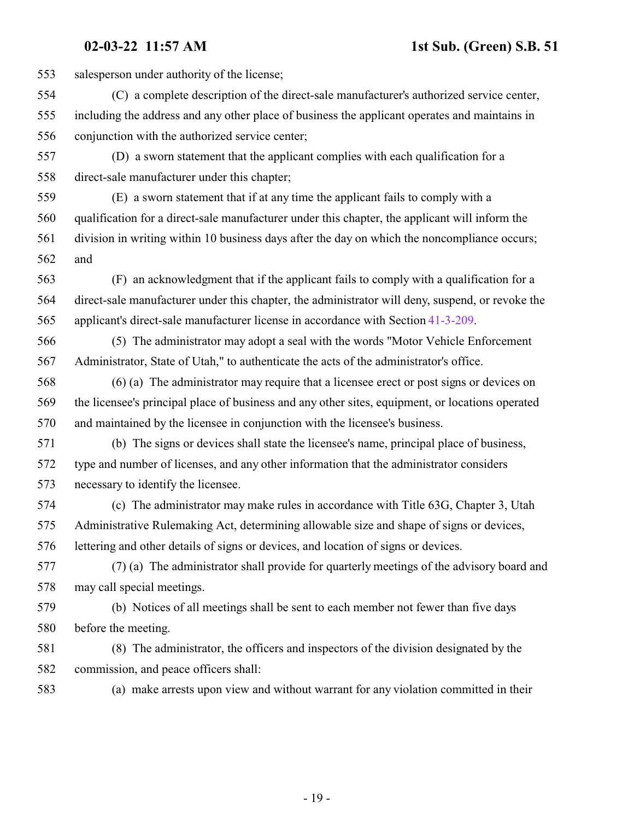salesperson under authority of the license; (C) a complete description of the direct-sale manufacturer's authorized service center, including the address and any other place of business the applicant operates and maintains in conjunction with the authorized service center; (D) a sworn statement that the applicant complies with each qualification for a direct-sale manufacturer under this chapter; (E) a sworn statement that if at any time the applicant fails to comply with a qualification for a direct-sale manufacturer under this chapter, the applicant will inform the division in writing within 10 business days after the day on which the noncompliance occurs; and (F) an acknowledgment that if the applicant fails to comply with a qualification for a direct-sale manufacturer under this chapter, the administrator will deny, suspend, or revoke the applicant's direct-sale manufacturer license in accordance with Section [41-3-209](http://le.utah.gov/UtahCode/SectionLookup.jsp?section=41-3-209&session=2022GS). (5) The administrator may adopt a seal with the words "Motor Vehicle Enforcement Administrator, State of Utah," to authenticate the acts of the administrator's office. (6) (a) The administrator may require that a licensee erect or post signs or devices on the licensee's principal place of business and any other sites, equipment, or locations operated and maintained by the licensee in conjunction with the licensee's business. (b) The signs or devices shall state the licensee's name, principal place of business, type and number of licenses, and any other information that the administrator considers necessary to identify the licensee. (c) The administrator may make rules in accordance with Title 63G, Chapter 3, Utah Administrative Rulemaking Act, determining allowable size and shape of signs or devices, lettering and other details of signs or devices, and location of signs or devices. (7) (a) The administrator shall provide for quarterly meetings of the advisory board and may call special meetings. (b) Notices of all meetings shall be sent to each member not fewer than five days before the meeting. (8) The administrator, the officers and inspectors of the division designated by the commission, and peace officers shall: (a) make arrests upon view and without warrant for any violation committed in their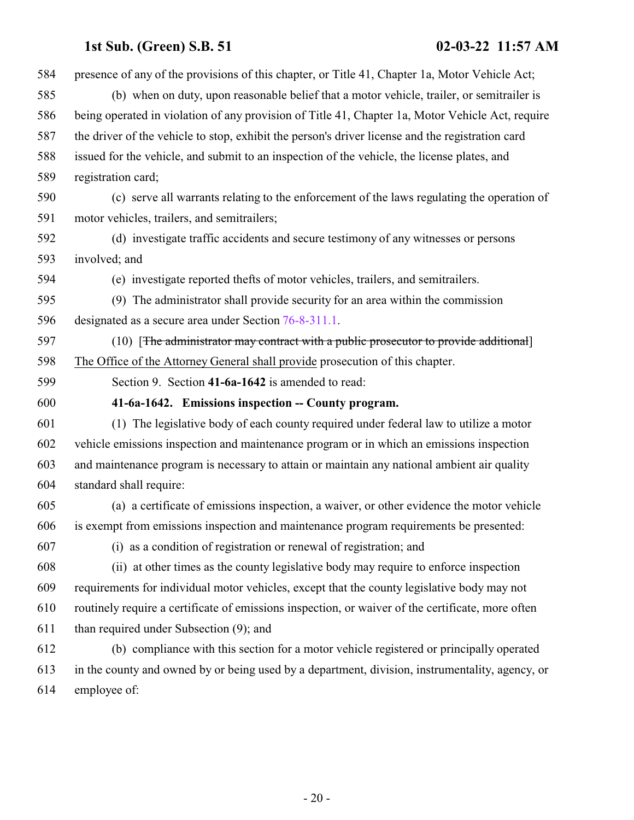<span id="page-19-0"></span>

| 584 | presence of any of the provisions of this chapter, or Title 41, Chapter 1a, Motor Vehicle Act;    |
|-----|---------------------------------------------------------------------------------------------------|
| 585 | (b) when on duty, upon reasonable belief that a motor vehicle, trailer, or semitrailer is         |
| 586 | being operated in violation of any provision of Title 41, Chapter 1a, Motor Vehicle Act, require  |
| 587 | the driver of the vehicle to stop, exhibit the person's driver license and the registration card  |
| 588 | issued for the vehicle, and submit to an inspection of the vehicle, the license plates, and       |
| 589 | registration card;                                                                                |
| 590 | (c) serve all warrants relating to the enforcement of the laws regulating the operation of        |
| 591 | motor vehicles, trailers, and semitrailers;                                                       |
| 592 | (d) investigate traffic accidents and secure testimony of any witnesses or persons                |
| 593 | involved; and                                                                                     |
| 594 | (e) investigate reported thefts of motor vehicles, trailers, and semitrailers.                    |
| 595 | (9) The administrator shall provide security for an area within the commission                    |
| 596 | designated as a secure area under Section 76-8-311.1.                                             |
| 597 | (10) [The administrator may contract with a public prosecutor to provide additional]              |
| 598 | The Office of the Attorney General shall provide prosecution of this chapter.                     |
| 599 | Section 9. Section 41-6a-1642 is amended to read:                                                 |
| 600 | 41-6a-1642. Emissions inspection -- County program.                                               |
| 601 | (1) The legislative body of each county required under federal law to utilize a motor             |
| 602 | vehicle emissions inspection and maintenance program or in which an emissions inspection          |
| 603 | and maintenance program is necessary to attain or maintain any national ambient air quality       |
| 604 | standard shall require:                                                                           |
| 605 | (a) a certificate of emissions inspection, a waiver, or other evidence the motor vehicle          |
| 606 | is exempt from emissions inspection and maintenance program requirements be presented:            |
| 607 | (i) as a condition of registration or renewal of registration; and                                |
| 608 | (ii) at other times as the county legislative body may require to enforce inspection              |
| 609 | requirements for individual motor vehicles, except that the county legislative body may not       |
| 610 | routinely require a certificate of emissions inspection, or waiver of the certificate, more often |
| 611 | than required under Subsection (9); and                                                           |
| 612 | (b) compliance with this section for a motor vehicle registered or principally operated           |
| 613 | in the county and owned by or being used by a department, division, instrumentality, agency, or   |
| 614 | employee of:                                                                                      |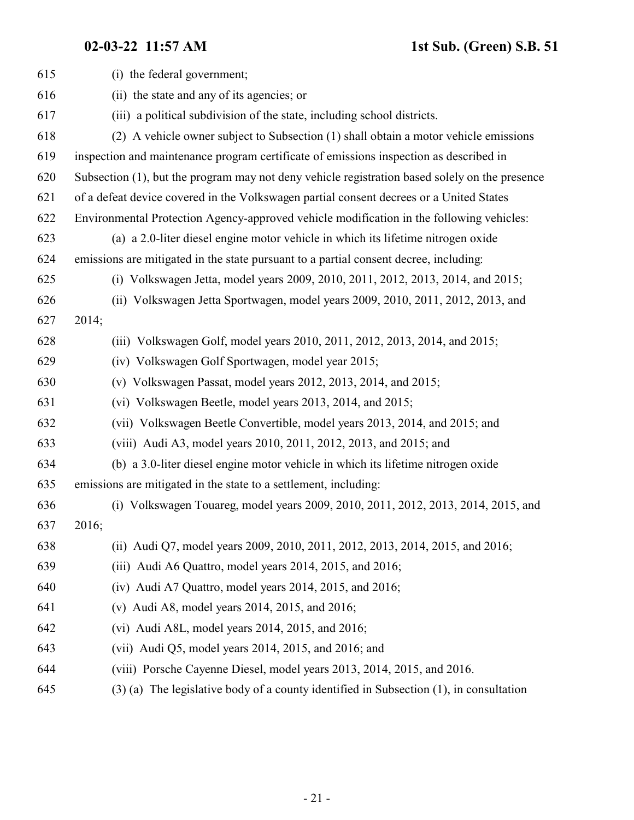| 615 | (i) the federal government;                                                                    |
|-----|------------------------------------------------------------------------------------------------|
| 616 | (ii) the state and any of its agencies; or                                                     |
| 617 | (iii) a political subdivision of the state, including school districts.                        |
| 618 | (2) A vehicle owner subject to Subsection (1) shall obtain a motor vehicle emissions           |
| 619 | inspection and maintenance program certificate of emissions inspection as described in         |
| 620 | Subsection (1), but the program may not deny vehicle registration based solely on the presence |
| 621 | of a defeat device covered in the Volkswagen partial consent decrees or a United States        |
| 622 | Environmental Protection Agency-approved vehicle modification in the following vehicles:       |
| 623 | (a) a 2.0-liter diesel engine motor vehicle in which its lifetime nitrogen oxide               |
| 624 | emissions are mitigated in the state pursuant to a partial consent decree, including:          |
| 625 | (i) Volkswagen Jetta, model years 2009, 2010, 2011, 2012, 2013, 2014, and 2015;                |
| 626 | (ii) Volkswagen Jetta Sportwagen, model years 2009, 2010, 2011, 2012, 2013, and                |
| 627 | 2014;                                                                                          |
| 628 | (iii) Volkswagen Golf, model years 2010, 2011, 2012, 2013, 2014, and 2015;                     |
| 629 | (iv) Volkswagen Golf Sportwagen, model year 2015;                                              |
| 630 | (v) Volkswagen Passat, model years $2012$ , $2013$ , $2014$ , and $2015$ ;                     |
| 631 | (vi) Volkswagen Beetle, model years 2013, 2014, and 2015;                                      |
| 632 | (vii) Volkswagen Beetle Convertible, model years 2013, 2014, and 2015; and                     |
| 633 | (viii) Audi A3, model years 2010, 2011, 2012, 2013, and 2015; and                              |
| 634 | (b) a 3.0-liter diesel engine motor vehicle in which its lifetime nitrogen oxide               |
| 635 | emissions are mitigated in the state to a settlement, including:                               |
| 636 | (i) Volkswagen Touareg, model years 2009, 2010, 2011, 2012, 2013, 2014, 2015, and              |
| 637 | 2016;                                                                                          |
| 638 | (ii) Audi Q7, model years 2009, 2010, 2011, 2012, 2013, 2014, 2015, and 2016;                  |
| 639 | (iii) Audi A6 Quattro, model years 2014, 2015, and 2016;                                       |
| 640 | $(iv)$ Audi A7 Quattro, model years 2014, 2015, and 2016;                                      |
| 641 | (v) Audi A8, model years $2014$ , $2015$ , and $2016$ ;                                        |
| 642 | (vi) Audi A8L, model years 2014, 2015, and 2016;                                               |
| 643 | (vii) Audi Q5, model years $2014$ , $2015$ , and $2016$ ; and                                  |
| 644 | (viii) Porsche Cayenne Diesel, model years 2013, 2014, 2015, and 2016.                         |
| 645 | $(3)$ (a) The legislative body of a county identified in Subsection $(1)$ , in consultation    |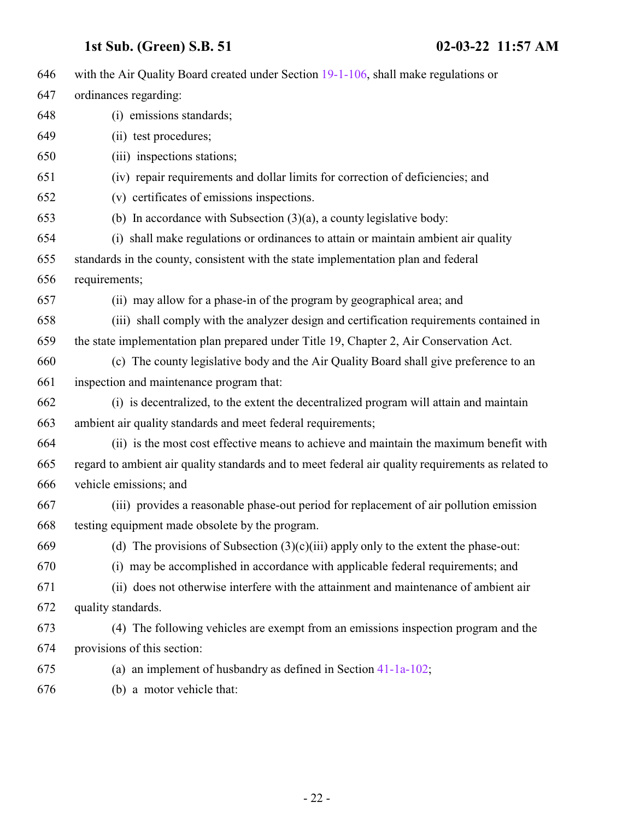| 646 | with the Air Quality Board created under Section 19-1-106, shall make regulations or               |
|-----|----------------------------------------------------------------------------------------------------|
| 647 | ordinances regarding:                                                                              |
| 648 | (i) emissions standards;                                                                           |
| 649 | (ii) test procedures;                                                                              |
| 650 | (iii) inspections stations;                                                                        |
| 651 | (iv) repair requirements and dollar limits for correction of deficiencies; and                     |
| 652 | (v) certificates of emissions inspections.                                                         |
| 653 | (b) In accordance with Subsection $(3)(a)$ , a county legislative body:                            |
| 654 | (i) shall make regulations or ordinances to attain or maintain ambient air quality                 |
| 655 | standards in the county, consistent with the state implementation plan and federal                 |
| 656 | requirements;                                                                                      |
| 657 | (ii) may allow for a phase-in of the program by geographical area; and                             |
| 658 | (iii) shall comply with the analyzer design and certification requirements contained in            |
| 659 | the state implementation plan prepared under Title 19, Chapter 2, Air Conservation Act.            |
| 660 | (c) The county legislative body and the Air Quality Board shall give preference to an              |
| 661 | inspection and maintenance program that:                                                           |
| 662 | (i) is decentralized, to the extent the decentralized program will attain and maintain             |
| 663 | ambient air quality standards and meet federal requirements;                                       |
| 664 | (ii) is the most cost effective means to achieve and maintain the maximum benefit with             |
| 665 | regard to ambient air quality standards and to meet federal air quality requirements as related to |
| 666 | vehicle emissions; and                                                                             |
| 667 | (iii) provides a reasonable phase-out period for replacement of air pollution emission             |
| 668 | testing equipment made obsolete by the program.                                                    |
| 669 | (d) The provisions of Subsection $(3)(c)(iii)$ apply only to the extent the phase-out:             |
| 670 | (i) may be accomplished in accordance with applicable federal requirements; and                    |
| 671 | (ii) does not otherwise interfere with the attainment and maintenance of ambient air               |
| 672 | quality standards.                                                                                 |
| 673 | (4) The following vehicles are exempt from an emissions inspection program and the                 |
| 674 | provisions of this section:                                                                        |
| 675 | (a) an implement of husbandry as defined in Section $41-1a-102$ ;                                  |
| 676 | (b) a motor vehicle that:                                                                          |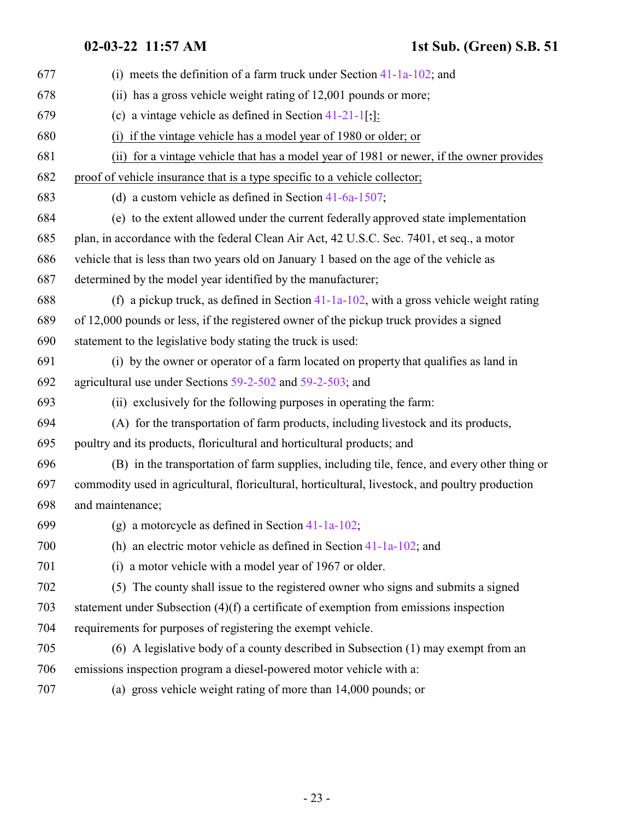| 677 | (i) meets the definition of a farm truck under Section $41-1a-102$ ; and                        |
|-----|-------------------------------------------------------------------------------------------------|
| 678 | (ii) has a gross vehicle weight rating of 12,001 pounds or more;                                |
| 679 | (c) a vintage vehicle as defined in Section $41-21-1$ [;]:                                      |
| 680 | (i) if the vintage vehicle has a model year of 1980 or older; or                                |
| 681 | (ii) for a vintage vehicle that has a model year of 1981 or newer, if the owner provides        |
| 682 | proof of vehicle insurance that is a type specific to a vehicle collector;                      |
| 683 | (d) a custom vehicle as defined in Section $41-6a-1507$ ;                                       |
| 684 | (e) to the extent allowed under the current federally approved state implementation             |
| 685 | plan, in accordance with the federal Clean Air Act, 42 U.S.C. Sec. 7401, et seq., a motor       |
| 686 | vehicle that is less than two years old on January 1 based on the age of the vehicle as         |
| 687 | determined by the model year identified by the manufacturer;                                    |
| 688 | (f) a pickup truck, as defined in Section $41-1a-102$ , with a gross vehicle weight rating      |
| 689 | of 12,000 pounds or less, if the registered owner of the pickup truck provides a signed         |
| 690 | statement to the legislative body stating the truck is used:                                    |
| 691 | (i) by the owner or operator of a farm located on property that qualifies as land in            |
| 692 | agricultural use under Sections 59-2-502 and 59-2-503; and                                      |
| 693 | (ii) exclusively for the following purposes in operating the farm:                              |
| 694 | (A) for the transportation of farm products, including livestock and its products,              |
| 695 | poultry and its products, floricultural and horticultural products; and                         |
| 696 | (B) in the transportation of farm supplies, including tile, fence, and every other thing or     |
| 697 | commodity used in agricultural, floricultural, horticultural, livestock, and poultry production |
| 698 | and maintenance;                                                                                |
| 699 | (g) a motorcycle as defined in Section $41-1a-102$ ;                                            |
| 700 | (h) an electric motor vehicle as defined in Section $41-1a-102$ ; and                           |
| 701 | (i) a motor vehicle with a model year of 1967 or older.                                         |
| 702 | (5) The county shall issue to the registered owner who signs and submits a signed               |
| 703 | statement under Subsection $(4)(f)$ a certificate of exemption from emissions inspection        |
| 704 | requirements for purposes of registering the exempt vehicle.                                    |
| 705 | (6) A legislative body of a county described in Subsection (1) may exempt from an               |
| 706 | emissions inspection program a diesel-powered motor vehicle with a:                             |
| 707 | (a) gross vehicle weight rating of more than 14,000 pounds; or                                  |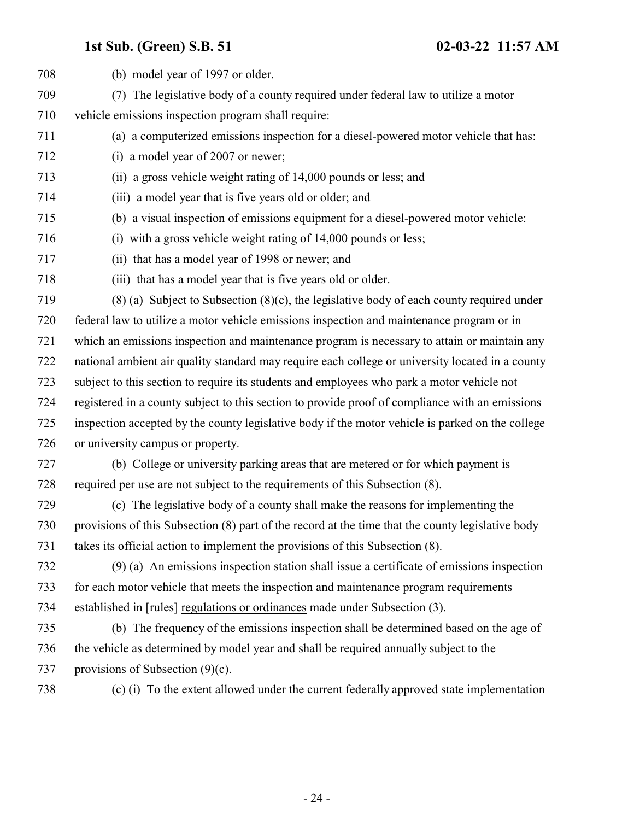| 708 | (b) model year of 1997 or older.                                                                  |
|-----|---------------------------------------------------------------------------------------------------|
| 709 | The legislative body of a county required under federal law to utilize a motor<br>(7)             |
| 710 | vehicle emissions inspection program shall require:                                               |
| 711 | (a) a computerized emissions inspection for a diesel-powered motor vehicle that has:              |
| 712 | (i) a model year of 2007 or newer;                                                                |
| 713 | (ii) a gross vehicle weight rating of 14,000 pounds or less; and                                  |
| 714 | (iii) a model year that is five years old or older; and                                           |
| 715 | (b) a visual inspection of emissions equipment for a diesel-powered motor vehicle:                |
| 716 | (i) with a gross vehicle weight rating of 14,000 pounds or less;                                  |
| 717 | (ii) that has a model year of 1998 or newer; and                                                  |
| 718 | (iii) that has a model year that is five years old or older.                                      |
| 719 | $(8)$ (a) Subject to Subsection $(8)(c)$ , the legislative body of each county required under     |
| 720 | federal law to utilize a motor vehicle emissions inspection and maintenance program or in         |
| 721 | which an emissions inspection and maintenance program is necessary to attain or maintain any      |
| 722 | national ambient air quality standard may require each college or university located in a county  |
| 723 | subject to this section to require its students and employees who park a motor vehicle not        |
| 724 | registered in a county subject to this section to provide proof of compliance with an emissions   |
| 725 | inspection accepted by the county legislative body if the motor vehicle is parked on the college  |
| 726 | or university campus or property.                                                                 |
| 727 | (b) College or university parking areas that are metered or for which payment is                  |
| 728 | required per use are not subject to the requirements of this Subsection (8).                      |
| 729 | (c) The legislative body of a county shall make the reasons for implementing the                  |
| 730 | provisions of this Subsection (8) part of the record at the time that the county legislative body |
| 731 | takes its official action to implement the provisions of this Subsection (8).                     |
| 732 | $(9)$ (a) An emissions inspection station shall issue a certificate of emissions inspection       |
| 733 | for each motor vehicle that meets the inspection and maintenance program requirements             |
| 734 | established in [rules] regulations or ordinances made under Subsection (3).                       |
| 735 | (b) The frequency of the emissions inspection shall be determined based on the age of             |
| 736 | the vehicle as determined by model year and shall be required annually subject to the             |
| 737 | provisions of Subsection $(9)(c)$ .                                                               |
| 738 | (c) (i) To the extent allowed under the current federally approved state implementation           |
|     |                                                                                                   |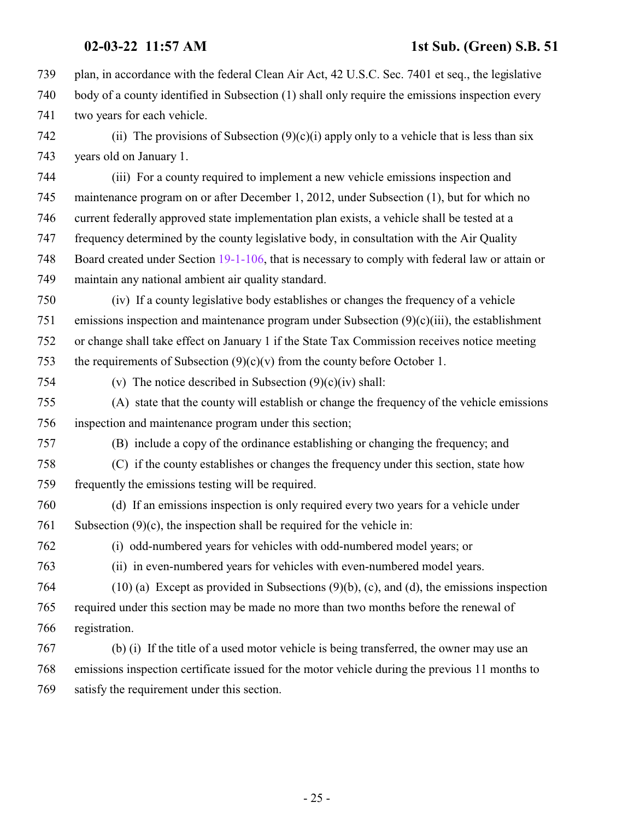plan, in accordance with the federal Clean Air Act, 42 U.S.C. Sec. 7401 et seq., the legislative body of a county identified in Subsection (1) shall only require the emissions inspection every two years for each vehicle.

742 (ii) The provisions of Subsection  $(9)(c)(i)$  apply only to a vehicle that is less than six years old on January 1.

 (iii) For a county required to implement a new vehicle emissions inspection and maintenance program on or after December 1, 2012, under Subsection (1), but for which no current federally approved state implementation plan exists, a vehicle shall be tested at a frequency determined by the county legislative body, in consultation with the Air Quality Board created under Section [19-1-106](http://le.utah.gov/UtahCode/SectionLookup.jsp?section=19-1-106&session=2022GS), that is necessary to comply with federal law or attain or maintain any national ambient air quality standard.

 (iv) If a county legislative body establishes or changes the frequency of a vehicle emissions inspection and maintenance program under Subsection (9)(c)(iii), the establishment or change shall take effect on January 1 if the State Tax Commission receives notice meeting 753 the requirements of Subsection  $(9)(c)(v)$  from the county before October 1.

754 (v) The notice described in Subsection  $(9)(c)(iv)$  shall:

 (A) state that the county will establish or change the frequency of the vehicle emissions inspection and maintenance program under this section;

(B) include a copy of the ordinance establishing or changing the frequency; and

 (C) if the county establishes or changes the frequency under this section, state how frequently the emissions testing will be required.

 (d) If an emissions inspection is only required every two years for a vehicle under 761 Subsection  $(9)(c)$ , the inspection shall be required for the vehicle in:

- 
- 

(i) odd-numbered years for vehicles with odd-numbered model years; or

(ii) in even-numbered years for vehicles with even-numbered model years.

 (10) (a) Except as provided in Subsections (9)(b), (c), and (d), the emissions inspection required under this section may be made no more than two months before the renewal of registration.

 (b) (i) If the title of a used motor vehicle is being transferred, the owner may use an emissions inspection certificate issued for the motor vehicle during the previous 11 months to satisfy the requirement under this section.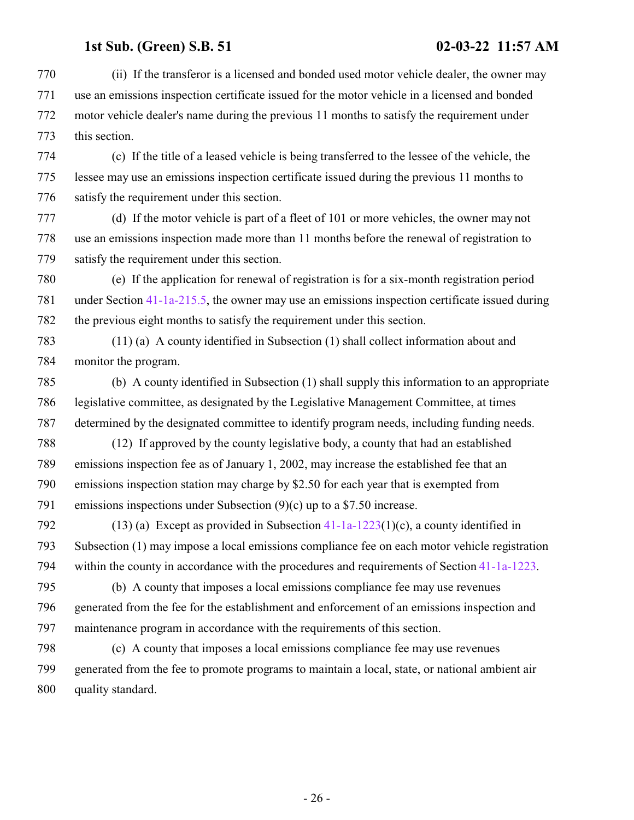(ii) If the transferor is a licensed and bonded used motor vehicle dealer, the owner may use an emissions inspection certificate issued for the motor vehicle in a licensed and bonded motor vehicle dealer's name during the previous 11 months to satisfy the requirement under this section.

 (c) If the title of a leased vehicle is being transferred to the lessee of the vehicle, the lessee may use an emissions inspection certificate issued during the previous 11 months to satisfy the requirement under this section.

 (d) If the motor vehicle is part of a fleet of 101 or more vehicles, the owner may not use an emissions inspection made more than 11 months before the renewal of registration to satisfy the requirement under this section.

 (e) If the application for renewal of registration is for a six-month registration period under Section [41-1a-215.5](http://le.utah.gov/UtahCode/SectionLookup.jsp?section=41-1a-215.5&session=2022GS), the owner may use an emissions inspection certificate issued during the previous eight months to satisfy the requirement under this section.

 (11) (a) A county identified in Subsection (1) shall collect information about and monitor the program.

 (b) A county identified in Subsection (1) shall supply this information to an appropriate legislative committee, as designated by the Legislative Management Committee, at times determined by the designated committee to identify program needs, including funding needs.

 (12) If approved by the county legislative body, a county that had an established emissions inspection fee as of January 1, 2002, may increase the established fee that an emissions inspection station may charge by \$2.50 for each year that is exempted from emissions inspections under Subsection (9)(c) up to a \$7.50 increase.

 (13) (a) Except as provided in Subsection [41-1a-1223](http://le.utah.gov/UtahCode/SectionLookup.jsp?section=41-1a-1223&session=2022GS)(1)(c), a county identified in Subsection (1) may impose a local emissions compliance fee on each motor vehicle registration within the county in accordance with the procedures and requirements of Section [41-1a-1223](http://le.utah.gov/UtahCode/SectionLookup.jsp?section=41-1a-1223&session=2022GS).

 (b) A county that imposes a local emissions compliance fee may use revenues generated from the fee for the establishment and enforcement of an emissions inspection and maintenance program in accordance with the requirements of this section.

 (c) A county that imposes a local emissions compliance fee may use revenues generated from the fee to promote programs to maintain a local, state, or national ambient air quality standard.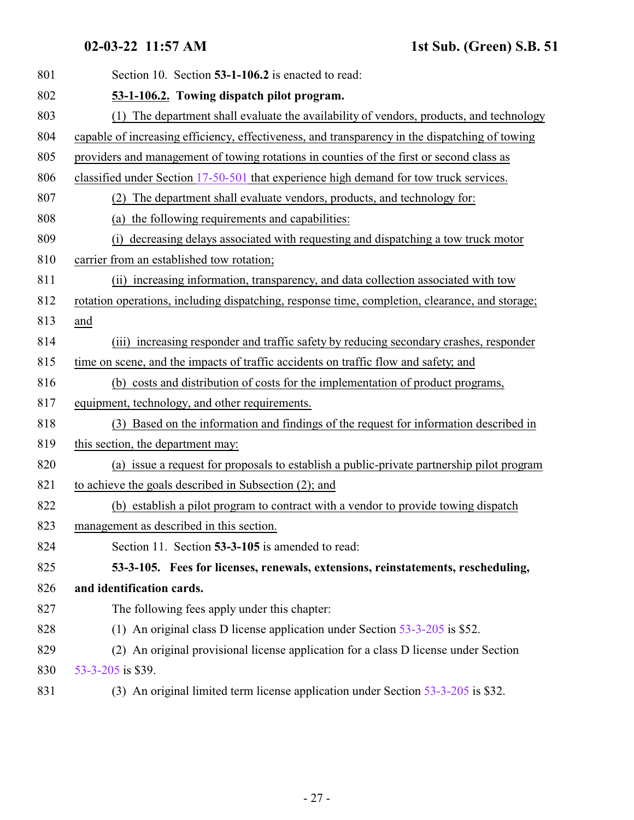<span id="page-26-1"></span><span id="page-26-0"></span>

| 801 | Section 10. Section 53-1-106.2 is enacted to read:                                             |
|-----|------------------------------------------------------------------------------------------------|
| 802 | 53-1-106.2. Towing dispatch pilot program.                                                     |
| 803 | (1) The department shall evaluate the availability of vendors, products, and technology        |
| 804 | capable of increasing efficiency, effectiveness, and transparency in the dispatching of towing |
| 805 | providers and management of towing rotations in counties of the first or second class as       |
| 806 | classified under Section 17-50-501 that experience high demand for tow truck services.         |
| 807 | (2) The department shall evaluate vendors, products, and technology for:                       |
| 808 | (a) the following requirements and capabilities:                                               |
| 809 | decreasing delays associated with requesting and dispatching a tow truck motor<br>(i)          |
| 810 | carrier from an established tow rotation;                                                      |
| 811 | (ii) increasing information, transparency, and data collection associated with tow             |
| 812 | rotation operations, including dispatching, response time, completion, clearance, and storage; |
| 813 | and                                                                                            |
| 814 | (iii) increasing responder and traffic safety by reducing secondary crashes, responder         |
| 815 | time on scene, and the impacts of traffic accidents on traffic flow and safety, and            |
| 816 | (b) costs and distribution of costs for the implementation of product programs,                |
| 817 | equipment, technology, and other requirements.                                                 |
| 818 | (3) Based on the information and findings of the request for information described in          |
| 819 | this section, the department may:                                                              |
| 820 | (a) issue a request for proposals to establish a public-private partnership pilot program      |
| 821 | to achieve the goals described in Subsection (2); and                                          |
| 822 | (b) establish a pilot program to contract with a vendor to provide towing dispatch             |
| 823 | management as described in this section.                                                       |
| 824 | Section 11. Section 53-3-105 is amended to read:                                               |
| 825 | 53-3-105. Fees for licenses, renewals, extensions, reinstatements, rescheduling,               |
| 826 | and identification cards.                                                                      |
| 827 | The following fees apply under this chapter:                                                   |
| 828 | (1) An original class D license application under Section $53-3-205$ is \$52.                  |
| 829 | (2) An original provisional license application for a class D license under Section            |
| 830 | 53-3-205 is \$39.                                                                              |
| 831 | (3) An original limited term license application under Section 53-3-205 is \$32.               |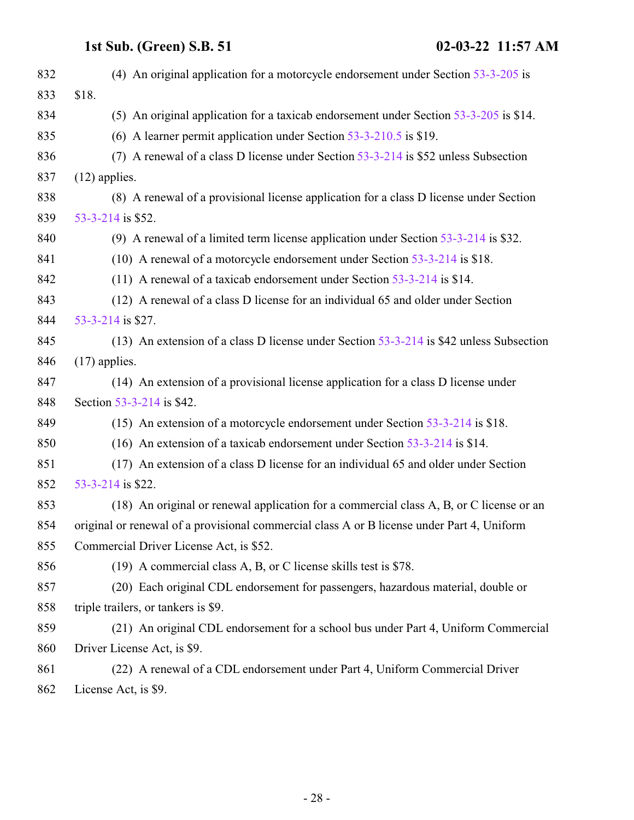| 832 | (4) An original application for a motorcycle endorsement under Section $53-3-205$ is       |
|-----|--------------------------------------------------------------------------------------------|
| 833 | \$18.                                                                                      |
| 834 | (5) An original application for a taxicab endorsement under Section 53-3-205 is \$14.      |
| 835 | (6) A learner permit application under Section $53-3-210.5$ is \$19.                       |
| 836 | (7) A renewal of a class D license under Section 53-3-214 is \$52 unless Subsection        |
| 837 | $(12)$ applies.                                                                            |
| 838 | (8) A renewal of a provisional license application for a class D license under Section     |
| 839 | 53-3-214 is \$52.                                                                          |
| 840 | (9) A renewal of a limited term license application under Section $53-3-214$ is \$32.      |
| 841 | (10) A renewal of a motorcycle endorsement under Section 53-3-214 is \$18.                 |
| 842 | (11) A renewal of a taxicab endorsement under Section $53-3-214$ is \$14.                  |
| 843 | (12) A renewal of a class D license for an individual 65 and older under Section           |
| 844 | 53-3-214 is \$27.                                                                          |
| 845 | (13) An extension of a class D license under Section 53-3-214 is \$42 unless Subsection    |
| 846 | $(17)$ applies.                                                                            |
| 847 | (14) An extension of a provisional license application for a class D license under         |
| 848 | Section 53-3-214 is \$42.                                                                  |
| 849 | (15) An extension of a motorcycle endorsement under Section $53-3-214$ is \$18.            |
| 850 | (16) An extension of a taxicab endorsement under Section $53-3-214$ is \$14.               |
| 851 | (17) An extension of a class D license for an individual 65 and older under Section        |
| 852 | 53-3-214 is \$22.                                                                          |
| 853 | (18) An original or renewal application for a commercial class A, B, or C license or an    |
| 854 | original or renewal of a provisional commercial class A or B license under Part 4, Uniform |
| 855 | Commercial Driver License Act, is \$52.                                                    |
| 856 | (19) A commercial class A, B, or C license skills test is \$78.                            |
| 857 | (20) Each original CDL endorsement for passengers, hazardous material, double or           |
| 858 | triple trailers, or tankers is \$9.                                                        |
| 859 | (21) An original CDL endorsement for a school bus under Part 4, Uniform Commercial         |
| 860 | Driver License Act, is \$9.                                                                |
| 861 | (22) A renewal of a CDL endorsement under Part 4, Uniform Commercial Driver                |
|     |                                                                                            |

License Act, is \$9.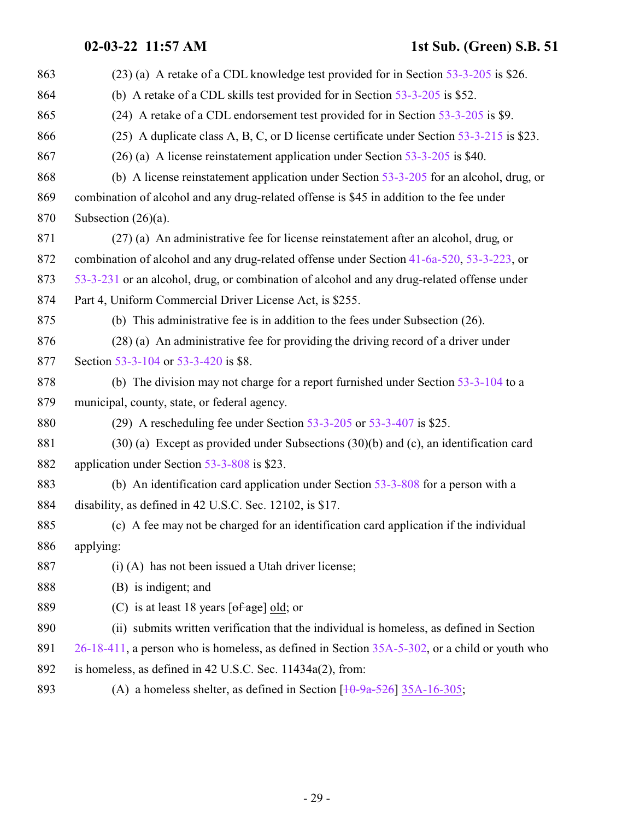## **02-03-22 11:57 AM 1st Sub. (Green) S.B. 51**

| 863 | (23) (a) A retake of a CDL knowledge test provided for in Section 53-3-205 is \$26.              |
|-----|--------------------------------------------------------------------------------------------------|
| 864 | (b) A retake of a CDL skills test provided for in Section $53-3-205$ is \$52.                    |
| 865 | (24) A retake of a CDL endorsement test provided for in Section 53-3-205 is \$9.                 |
| 866 | (25) A duplicate class A, B, C, or D license certificate under Section 53-3-215 is \$23.         |
| 867 | $(26)$ (a) A license reinstatement application under Section 53-3-205 is \$40.                   |
| 868 | (b) A license reinstatement application under Section $53-3-205$ for an alcohol, drug, or        |
| 869 | combination of alcohol and any drug-related offense is \$45 in addition to the fee under         |
| 870 | Subsection $(26)(a)$ .                                                                           |
| 871 | (27) (a) An administrative fee for license reinstatement after an alcohol, drug, or              |
| 872 | combination of alcohol and any drug-related offense under Section 41-6a-520, 53-3-223, or        |
| 873 | 53-3-231 or an alcohol, drug, or combination of alcohol and any drug-related offense under       |
| 874 | Part 4, Uniform Commercial Driver License Act, is \$255.                                         |
| 875 | (b) This administrative fee is in addition to the fees under Subsection $(26)$ .                 |
| 876 | (28) (a) An administrative fee for providing the driving record of a driver under                |
| 877 | Section 53-3-104 or 53-3-420 is \$8.                                                             |
| 878 | (b) The division may not charge for a report furnished under Section $53-3-104$ to a             |
| 879 | municipal, county, state, or federal agency.                                                     |
| 880 | (29) A rescheduling fee under Section $53-3-205$ or $53-3-407$ is \$25.                          |
| 881 | $(30)$ (a) Except as provided under Subsections $(30)(b)$ and (c), an identification card        |
| 882 | application under Section 53-3-808 is \$23.                                                      |
| 883 | (b) An identification card application under Section 53-3-808 for a person with a                |
| 884 | disability, as defined in 42 U.S.C. Sec. 12102, is \$17.                                         |
| 885 | (c) A fee may not be charged for an identification card application if the individual            |
| 886 | applying:                                                                                        |
| 887 | $(i)$ (A) has not been issued a Utah driver license;                                             |
| 888 | (B) is indigent; and                                                                             |
| 889 | (C) is at least 18 years $\lceil \text{of age} \rceil$ old; or                                   |
| 890 | (ii) submits written verification that the individual is homeless, as defined in Section         |
| 891 | 26-18-411, a person who is homeless, as defined in Section 35A-5-302, or a child or youth who    |
| 892 | is homeless, as defined in 42 U.S.C. Sec. 11434a(2), from:                                       |
| 893 | (A) a homeless shelter, as defined in Section $\left[10\text{-}9a\text{-}526\right]35A-16-305$ ; |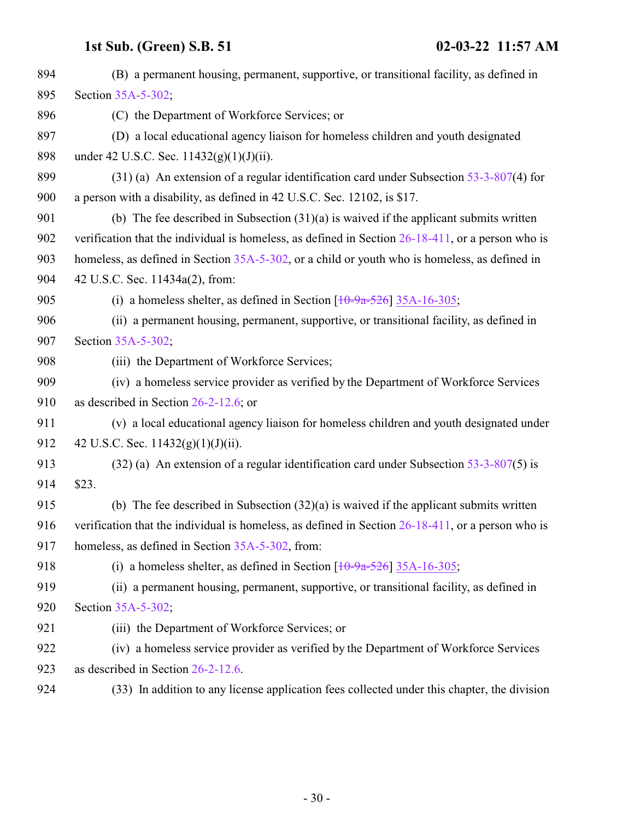| 894 | (B) a permanent housing, permanent, supportive, or transitional facility, as defined in              |
|-----|------------------------------------------------------------------------------------------------------|
| 895 | Section 35A-5-302;                                                                                   |
| 896 | (C) the Department of Workforce Services; or                                                         |
| 897 | (D) a local educational agency liaison for homeless children and youth designated                    |
| 898 | under 42 U.S.C. Sec. $11432(g)(1)(J)(ii)$ .                                                          |
| 899 | $(31)$ (a) An extension of a regular identification card under Subsection 53-3-807(4) for            |
| 900 | a person with a disability, as defined in 42 U.S.C. Sec. 12102, is \$17.                             |
| 901 | (b) The fee described in Subsection $(31)(a)$ is waived if the applicant submits written             |
| 902 | verification that the individual is homeless, as defined in Section $26-18-411$ , or a person who is |
| 903 | homeless, as defined in Section 35A-5-302, or a child or youth who is homeless, as defined in        |
| 904 | 42 U.S.C. Sec. 11434a(2), from:                                                                      |
| 905 | (i) a homeless shelter, as defined in Section $[10-9a-526]$ 35A-16-305;                              |
| 906 | (ii) a permanent housing, permanent, supportive, or transitional facility, as defined in             |
| 907 | Section 35A-5-302;                                                                                   |
| 908 | (iii) the Department of Workforce Services;                                                          |
| 909 | (iv) a homeless service provider as verified by the Department of Workforce Services                 |
| 910 | as described in Section $26-2-12.6$ ; or                                                             |
| 911 | (v) a local educational agency liaison for homeless children and youth designated under              |
| 912 | 42 U.S.C. Sec. $11432(g)(1)(J)(ii)$ .                                                                |
| 913 | $(32)$ (a) An extension of a regular identification card under Subsection 53-3-807(5) is             |
| 914 | \$23.                                                                                                |
| 915 | (b) The fee described in Subsection $(32)(a)$ is waived if the applicant submits written             |
| 916 | verification that the individual is homeless, as defined in Section $26-18-411$ , or a person who is |
| 917 | homeless, as defined in Section 35A-5-302, from:                                                     |
| 918 | (i) a homeless shelter, as defined in Section $\left[10\text{-}9a\text{-}526\right]$ 35A-16-305;     |
| 919 | (ii) a permanent housing, permanent, supportive, or transitional facility, as defined in             |
| 920 | Section 35A-5-302;                                                                                   |
| 921 | (iii) the Department of Workforce Services; or                                                       |
| 922 | (iv) a homeless service provider as verified by the Department of Workforce Services                 |
| 923 | as described in Section 26-2-12.6.                                                                   |
| 924 | (33) In addition to any license application fees collected under this chapter, the division          |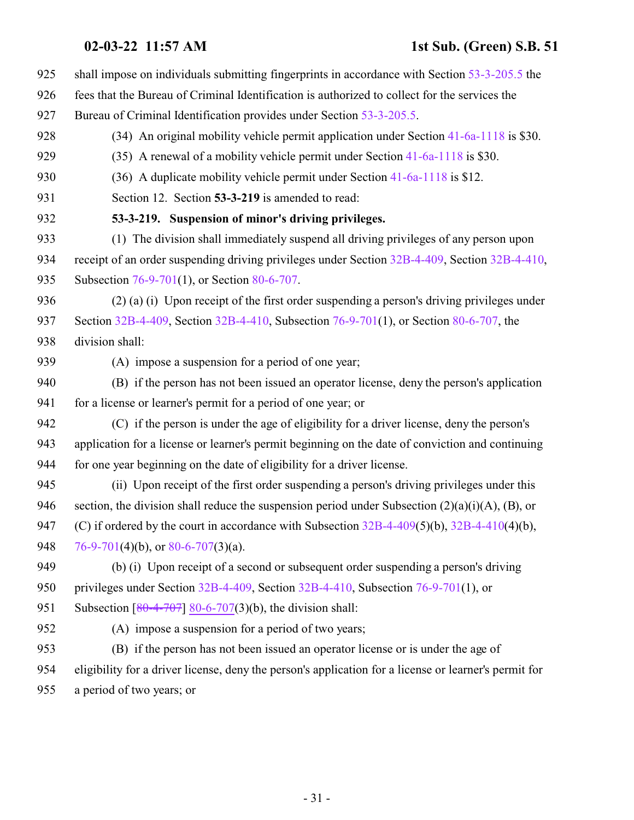- <span id="page-30-0"></span>**02-03-22 11:57 AM 1st Sub. (Green) S.B. 51** shall impose on individuals submitting fingerprints in accordance with Section [53-3-205.5](http://le.utah.gov/UtahCode/SectionLookup.jsp?section=53-3-205.5&session=2022GS) the fees that the Bureau of Criminal Identification is authorized to collect for the services the Bureau of Criminal Identification provides under Section [53-3-205.5](http://le.utah.gov/UtahCode/SectionLookup.jsp?section=53-3-205.5&session=2022GS). 928 (34) An original mobility vehicle permit application under Section [41-6a-1118](http://le.utah.gov/UtahCode/SectionLookup.jsp?section=41-6a-1118&session=2022GS) is \$30. (35) A renewal of a mobility vehicle permit under Section [41-6a-1118](http://le.utah.gov/UtahCode/SectionLookup.jsp?section=41-6a-1118&session=2022GS) is \$30. (36) A duplicate mobility vehicle permit under Section [41-6a-1118](http://le.utah.gov/UtahCode/SectionLookup.jsp?section=41-6a-1118&session=2022GS) is \$12. Section 12. Section **53-3-219** is amended to read: **53-3-219. Suspension of minor's driving privileges.** (1) The division shall immediately suspend all driving privileges of any person upon receipt of an order suspending driving privileges under Section [32B-4-409](http://le.utah.gov/UtahCode/SectionLookup.jsp?section=32b-4-409&session=2022GS), Section [32B-4-410](http://le.utah.gov/UtahCode/SectionLookup.jsp?section=32b-4-410&session=2022GS), 935 Subsection [76-9-701](http://le.utah.gov/UtahCode/SectionLookup.jsp?section=76-9-701&session=2022GS)(1), or Section [80-6-707](http://le.utah.gov/UtahCode/SectionLookup.jsp?section=80-6-707&session=2022GS). (2) (a) (i) Upon receipt of the first order suspending a person's driving privileges under 937 Section [32B-4-409](http://le.utah.gov/UtahCode/SectionLookup.jsp?section=32b-4-409&session=2022GS), Section [32B-4-410](http://le.utah.gov/UtahCode/SectionLookup.jsp?section=32b-4-410&session=2022GS), Subsection [76-9-701](http://le.utah.gov/UtahCode/SectionLookup.jsp?section=76-9-701&session=2022GS)(1), or Section [80-6-707](http://le.utah.gov/UtahCode/SectionLookup.jsp?section=80-6-707&session=2022GS), the division shall: (A) impose a suspension for a period of one year; (B) if the person has not been issued an operator license, deny the person's application 941 for a license or learner's permit for a period of one year; or (C) if the person is under the age of eligibility for a driver license, deny the person's application for a license or learner's permit beginning on the date of conviction and continuing for one year beginning on the date of eligibility for a driver license.
- (ii) Upon receipt of the first order suspending a person's driving privileges under this 946 section, the division shall reduce the suspension period under Subsection  $(2)(a)(i)(A)$ ,  $(B)$ , or 947 (C) if ordered by the court in accordance with Subsection [32B-4-409](http://le.utah.gov/UtahCode/SectionLookup.jsp?section=32b-4-409&session=2022GS)(5)(b), [32B-4-410](http://le.utah.gov/UtahCode/SectionLookup.jsp?section=32b-4-410&session=2022GS)(4)(b), 948  $76-9-701(4)(b)$  $76-9-701(4)(b)$ , or  $80-6-707(3)(a)$ .
- (b) (i) Upon receipt of a second or subsequent order suspending a person's driving privileges under Section [32B-4-409](http://le.utah.gov/UtahCode/SectionLookup.jsp?section=32b-4-409&session=2022GS), Section [32B-4-410](http://le.utah.gov/UtahCode/SectionLookup.jsp?section=32b-4-410&session=2022GS), Subsection [76-9-701](http://le.utah.gov/UtahCode/SectionLookup.jsp?section=76-9-701&session=2022GS)(1), or

951 Subsection  $[80-4-707]$  $[80-4-707]$  [80-6-707](http://le.utah.gov/UtahCode/SectionLookup.jsp?section=80-6-707&session=2022GS)(3)(b), the division shall:

(A) impose a suspension for a period of two years;

 (B) if the person has not been issued an operator license or is under the age of eligibility for a driver license, deny the person's application for a license or learner's permit for a period of two years; or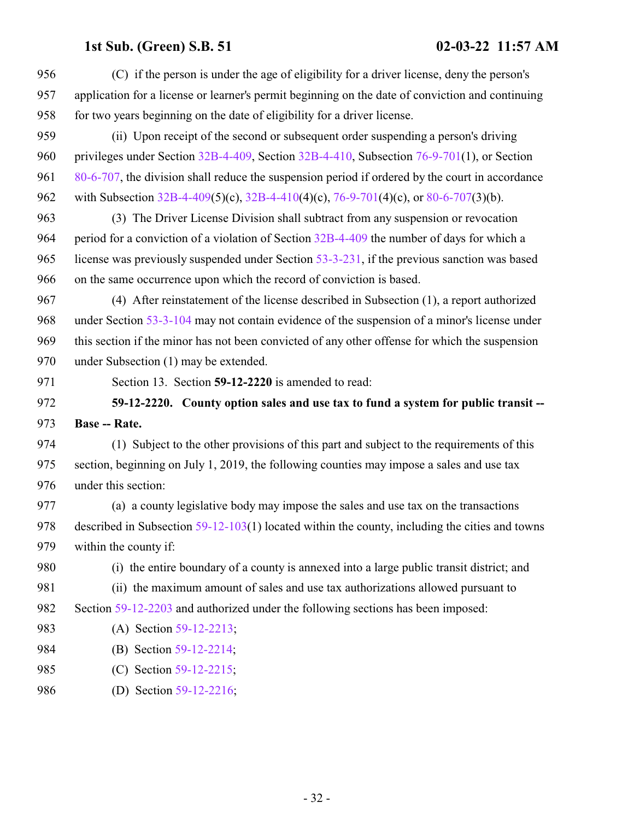<span id="page-31-0"></span>

| 956 | (C) if the person is under the age of eligibility for a driver license, deny the person's          |
|-----|----------------------------------------------------------------------------------------------------|
| 957 | application for a license or learner's permit beginning on the date of conviction and continuing   |
| 958 | for two years beginning on the date of eligibility for a driver license.                           |
| 959 | (ii) Upon receipt of the second or subsequent order suspending a person's driving                  |
| 960 | privileges under Section $32B-4-409$ , Section $32B-4-410$ , Subsection $76-9-701(1)$ , or Section |
| 961 | 80-6-707, the division shall reduce the suspension period if ordered by the court in accordance    |
| 962 | with Subsection 32B-4-409(5)(c), 32B-4-410(4)(c), 76-9-701(4)(c), or 80-6-707(3)(b).               |
| 963 | (3) The Driver License Division shall subtract from any suspension or revocation                   |
| 964 | period for a conviction of a violation of Section 32B-4-409 the number of days for which a         |
| 965 | license was previously suspended under Section 53-3-231, if the previous sanction was based        |
| 966 | on the same occurrence upon which the record of conviction is based.                               |
| 967 | (4) After reinstatement of the license described in Subsection (1), a report authorized            |
| 968 | under Section 53-3-104 may not contain evidence of the suspension of a minor's license under       |
| 969 | this section if the minor has not been convicted of any other offense for which the suspension     |
| 970 | under Subsection (1) may be extended.                                                              |
|     | Section 13. Section 59-12-2220 is amended to read:                                                 |
| 971 |                                                                                                    |
| 972 | 59-12-2220. County option sales and use tax to fund a system for public transit --                 |
| 973 | <b>Base -- Rate.</b>                                                                               |
| 974 | (1) Subject to the other provisions of this part and subject to the requirements of this           |
| 975 | section, beginning on July 1, 2019, the following counties may impose a sales and use tax          |
| 976 | under this section:                                                                                |
| 977 | (a) a county legislative body may impose the sales and use tax on the transactions                 |
| 978 | described in Subsection $59-12-103(1)$ located within the county, including the cities and towns   |
| 979 | within the county if:                                                                              |
| 980 | (i) the entire boundary of a county is annexed into a large public transit district; and           |
| 981 | (ii) the maximum amount of sales and use tax authorizations allowed pursuant to                    |
| 982 | Section 59-12-2203 and authorized under the following sections has been imposed:                   |
| 983 | (A) Section 59-12-2213;                                                                            |
| 984 | (B) Section 59-12-2214;                                                                            |
| 985 | (C) Section 59-12-2215;                                                                            |
| 986 | (D) Section 59-12-2216;                                                                            |

- 32 -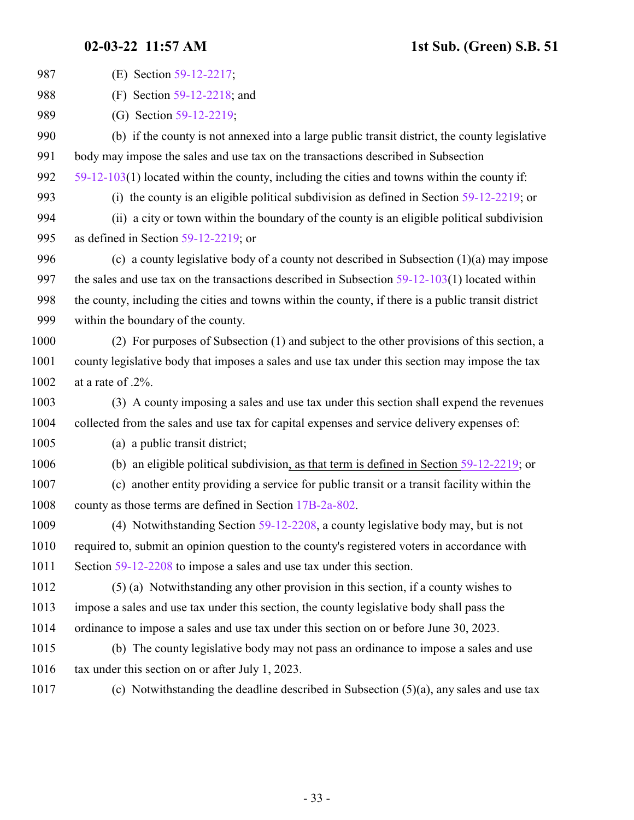| 987  | (E) Section 59-12-2217;                                                                             |
|------|-----------------------------------------------------------------------------------------------------|
| 988  | (F) Section $59-12-2218$ ; and                                                                      |
| 989  | (G) Section 59-12-2219;                                                                             |
|      |                                                                                                     |
| 990  | (b) if the county is not annexed into a large public transit district, the county legislative       |
| 991  | body may impose the sales and use tax on the transactions described in Subsection                   |
| 992  | $59-12-103(1)$ located within the county, including the cities and towns within the county if:      |
| 993  | (i) the county is an eligible political subdivision as defined in Section $59-12-2219$ ; or         |
| 994  | (ii) a city or town within the boundary of the county is an eligible political subdivision          |
| 995  | as defined in Section $59-12-2219$ ; or                                                             |
| 996  | (c) a county legislative body of a county not described in Subsection $(1)(a)$ may impose           |
| 997  | the sales and use tax on the transactions described in Subsection $59-12-103(1)$ located within     |
| 998  | the county, including the cities and towns within the county, if there is a public transit district |
| 999  | within the boundary of the county.                                                                  |
| 1000 | (2) For purposes of Subsection (1) and subject to the other provisions of this section, a           |
| 1001 | county legislative body that imposes a sales and use tax under this section may impose the tax      |
| 1002 | at a rate of .2%.                                                                                   |
| 1003 | (3) A county imposing a sales and use tax under this section shall expend the revenues              |
| 1004 | collected from the sales and use tax for capital expenses and service delivery expenses of:         |
| 1005 | (a) a public transit district;                                                                      |
| 1006 | (b) an eligible political subdivision, as that term is defined in Section $59-12-2219$ ; or         |
| 1007 | (c) another entity providing a service for public transit or a transit facility within the          |
| 1008 | county as those terms are defined in Section 17B-2a-802.                                            |
| 1009 | (4) Notwithstanding Section 59-12-2208, a county legislative body may, but is not                   |
| 1010 | required to, submit an opinion question to the county's registered voters in accordance with        |
| 1011 | Section 59-12-2208 to impose a sales and use tax under this section.                                |
| 1012 | (5) (a) Notwithstanding any other provision in this section, if a county wishes to                  |
| 1013 | impose a sales and use tax under this section, the county legislative body shall pass the           |
| 1014 | ordinance to impose a sales and use tax under this section on or before June 30, 2023.              |
| 1015 | (b) The county legislative body may not pass an ordinance to impose a sales and use                 |
| 1016 | tax under this section on or after July 1, 2023.                                                    |
| 1017 | (c) Notwithstanding the deadline described in Subsection $(5)(a)$ , any sales and use tax           |
|      |                                                                                                     |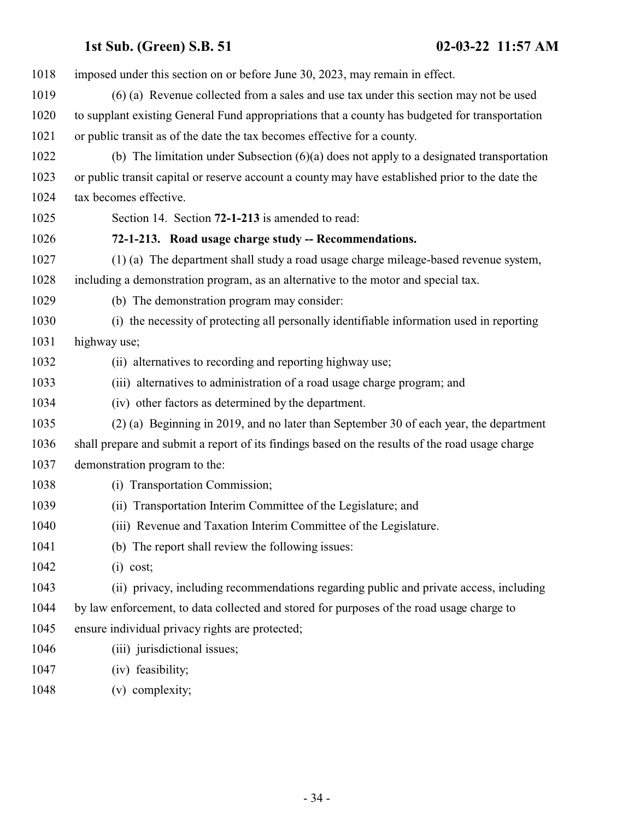<span id="page-33-0"></span> imposed under this section on or before June 30, 2023, may remain in effect. (6) (a) Revenue collected from a sales and use tax under this section may not be used to supplant existing General Fund appropriations that a county has budgeted for transportation or public transit as of the date the tax becomes effective for a county. (b) The limitation under Subsection (6)(a) does not apply to a designated transportation or public transit capital or reserve account a county may have established prior to the date the tax becomes effective. Section 14. Section **72-1-213** is amended to read: **72-1-213. Road usage charge study -- Recommendations.** (1) (a) The department shall study a road usage charge mileage-based revenue system, including a demonstration program, as an alternative to the motor and special tax. (b) The demonstration program may consider: (i) the necessity of protecting all personally identifiable information used in reporting highway use; (ii) alternatives to recording and reporting highway use; (iii) alternatives to administration of a road usage charge program; and (iv) other factors as determined by the department. (2) (a) Beginning in 2019, and no later than September 30 of each year, the department shall prepare and submit a report of its findings based on the results of the road usage charge demonstration program to the: (i) Transportation Commission; (ii) Transportation Interim Committee of the Legislature; and (iii) Revenue and Taxation Interim Committee of the Legislature. (b) The report shall review the following issues: (i) cost; (ii) privacy, including recommendations regarding public and private access, including by law enforcement, to data collected and stored for purposes of the road usage charge to ensure individual privacy rights are protected; 1046 (iii) jurisdictional issues; (iv) feasibility;

(v) complexity;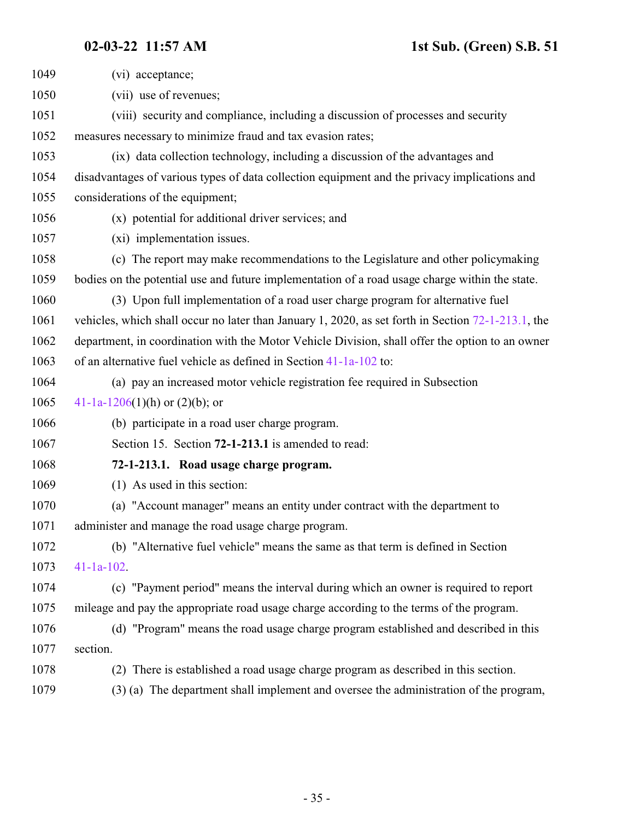<span id="page-34-0"></span>

| 1049 | (vi) acceptance;                                                                                      |
|------|-------------------------------------------------------------------------------------------------------|
| 1050 | (vii) use of revenues;                                                                                |
| 1051 | (viii) security and compliance, including a discussion of processes and security                      |
| 1052 | measures necessary to minimize fraud and tax evasion rates;                                           |
| 1053 | (ix) data collection technology, including a discussion of the advantages and                         |
| 1054 | disadvantages of various types of data collection equipment and the privacy implications and          |
| 1055 | considerations of the equipment;                                                                      |
| 1056 | (x) potential for additional driver services; and                                                     |
| 1057 | (xi) implementation issues.                                                                           |
| 1058 | (c) The report may make recommendations to the Legislature and other policymaking                     |
| 1059 | bodies on the potential use and future implementation of a road usage charge within the state.        |
| 1060 | (3) Upon full implementation of a road user charge program for alternative fuel                       |
| 1061 | vehicles, which shall occur no later than January 1, 2020, as set forth in Section $72-1-213.1$ , the |
| 1062 | department, in coordination with the Motor Vehicle Division, shall offer the option to an owner       |
| 1063 | of an alternative fuel vehicle as defined in Section $41-1a-102$ to:                                  |
| 1064 | (a) pay an increased motor vehicle registration fee required in Subsection                            |
| 1065 | 41-1a-1206(1)(h) or (2)(b); or                                                                        |
| 1066 | (b) participate in a road user charge program.                                                        |
| 1067 | Section 15. Section 72-1-213.1 is amended to read:                                                    |
| 1068 | 72-1-213.1. Road usage charge program.                                                                |
| 1069 | (1) As used in this section:                                                                          |
| 1070 | (a) "Account manager" means an entity under contract with the department to                           |
| 1071 | administer and manage the road usage charge program.                                                  |
| 1072 | (b) "Alternative fuel vehicle" means the same as that term is defined in Section                      |
| 1073 | $41-1a-102$ .                                                                                         |
| 1074 | (c) "Payment period" means the interval during which an owner is required to report                   |
| 1075 | mileage and pay the appropriate road usage charge according to the terms of the program.              |
| 1076 | (d) "Program" means the road usage charge program established and described in this                   |
| 1077 | section.                                                                                              |
| 1078 | There is established a road usage charge program as described in this section.<br>(2)                 |
| 1079 | (3) (a) The department shall implement and oversee the administration of the program,                 |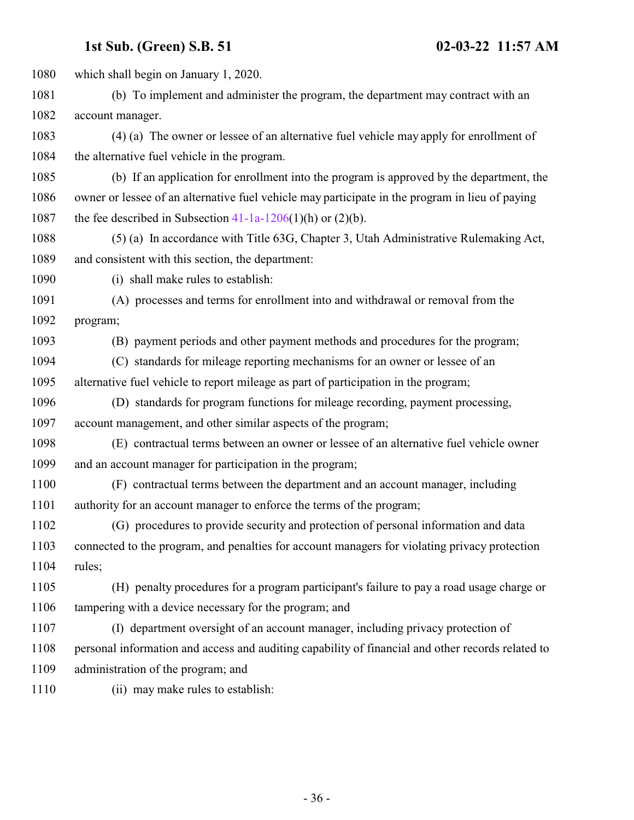which shall begin on January 1, 2020. (b) To implement and administer the program, the department may contract with an account manager. (4) (a) The owner or lessee of an alternative fuel vehicle may apply for enrollment of the alternative fuel vehicle in the program. (b) If an application for enrollment into the program is approved by the department, the owner or lessee of an alternative fuel vehicle may participate in the program in lieu of paying 1087 the fee described in Subsection  $41-1a-1206(1)(h)$  or  $(2)(b)$ . (5) (a) In accordance with Title 63G, Chapter 3, Utah Administrative Rulemaking Act, and consistent with this section, the department: (i) shall make rules to establish: (A) processes and terms for enrollment into and withdrawal or removal from the program; (B) payment periods and other payment methods and procedures for the program; (C) standards for mileage reporting mechanisms for an owner or lessee of an alternative fuel vehicle to report mileage as part of participation in the program; (D) standards for program functions for mileage recording, payment processing, account management, and other similar aspects of the program; (E) contractual terms between an owner or lessee of an alternative fuel vehicle owner and an account manager for participation in the program; (F) contractual terms between the department and an account manager, including authority for an account manager to enforce the terms of the program; (G) procedures to provide security and protection of personal information and data connected to the program, and penalties for account managers for violating privacy protection rules; (H) penalty procedures for a program participant's failure to pay a road usage charge or tampering with a device necessary for the program; and (I) department oversight of an account manager, including privacy protection of personal information and access and auditing capability of financial and other records related to administration of the program; and (ii) may make rules to establish: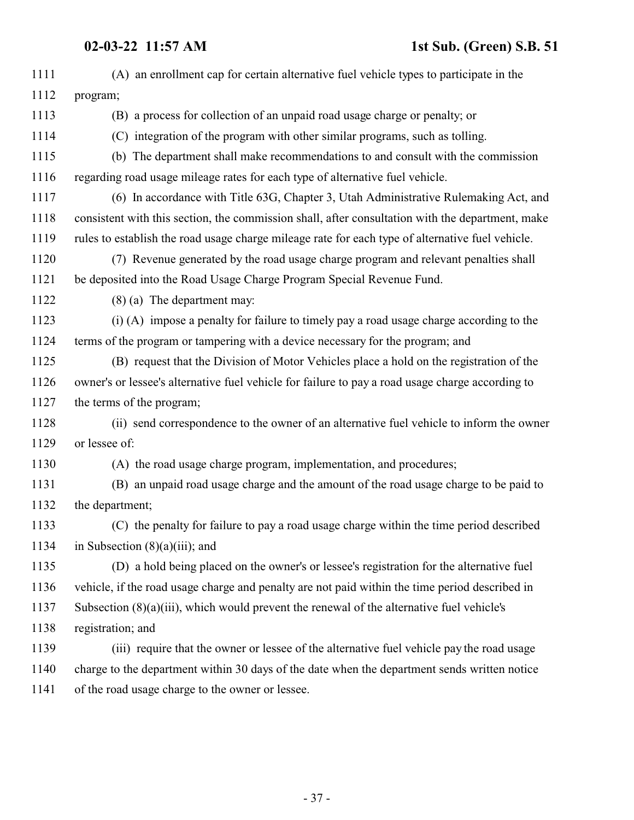| 1111 | (A) an enrollment cap for certain alternative fuel vehicle types to participate in the           |
|------|--------------------------------------------------------------------------------------------------|
| 1112 | program;                                                                                         |
| 1113 | (B) a process for collection of an unpaid road usage charge or penalty; or                       |
| 1114 | (C) integration of the program with other similar programs, such as tolling.                     |
| 1115 | (b) The department shall make recommendations to and consult with the commission                 |
| 1116 | regarding road usage mileage rates for each type of alternative fuel vehicle.                    |
| 1117 | (6) In accordance with Title 63G, Chapter 3, Utah Administrative Rulemaking Act, and             |
| 1118 | consistent with this section, the commission shall, after consultation with the department, make |
| 1119 | rules to establish the road usage charge mileage rate for each type of alternative fuel vehicle. |
| 1120 | (7) Revenue generated by the road usage charge program and relevant penalties shall              |
| 1121 | be deposited into the Road Usage Charge Program Special Revenue Fund.                            |
| 1122 | $(8)$ (a) The department may:                                                                    |
| 1123 | (i) (A) impose a penalty for failure to timely pay a road usage charge according to the          |
| 1124 | terms of the program or tampering with a device necessary for the program; and                   |
| 1125 | (B) request that the Division of Motor Vehicles place a hold on the registration of the          |
| 1126 | owner's or lessee's alternative fuel vehicle for failure to pay a road usage charge according to |
| 1127 | the terms of the program;                                                                        |
| 1128 | (ii) send correspondence to the owner of an alternative fuel vehicle to inform the owner         |
| 1129 | or lessee of:                                                                                    |
| 1130 | (A) the road usage charge program, implementation, and procedures;                               |
| 1131 | (B) an unpaid road usage charge and the amount of the road usage charge to be paid to            |
| 1132 | the department;                                                                                  |
| 1133 | (C) the penalty for failure to pay a road usage charge within the time period described          |
| 1134 | in Subsection $(8)(a)(iii)$ ; and                                                                |
| 1135 | (D) a hold being placed on the owner's or lessee's registration for the alternative fuel         |
| 1136 | vehicle, if the road usage charge and penalty are not paid within the time period described in   |
| 1137 | Subsection $(8)(a)(iii)$ , which would prevent the renewal of the alternative fuel vehicle's     |
| 1138 | registration; and                                                                                |
| 1139 | (iii) require that the owner or lessee of the alternative fuel vehicle pay the road usage        |
| 1140 | charge to the department within 30 days of the date when the department sends written notice     |
| 1141 | of the road usage charge to the owner or lessee.                                                 |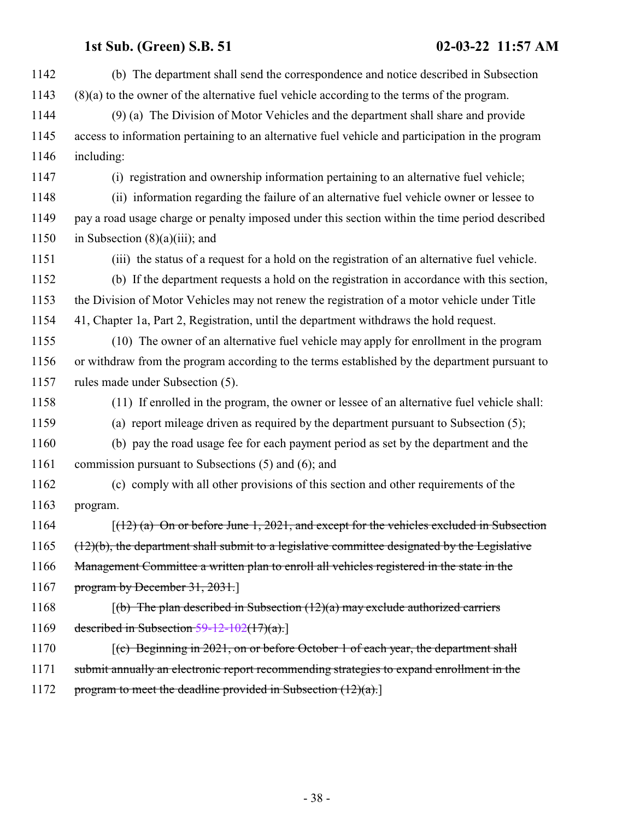| 1142 | (b) The department shall send the correspondence and notice described in Subsection              |
|------|--------------------------------------------------------------------------------------------------|
| 1143 | $(8)(a)$ to the owner of the alternative fuel vehicle according to the terms of the program.     |
| 1144 | (9) (a) The Division of Motor Vehicles and the department shall share and provide                |
| 1145 | access to information pertaining to an alternative fuel vehicle and participation in the program |
| 1146 | including:                                                                                       |
| 1147 | (i) registration and ownership information pertaining to an alternative fuel vehicle;            |
| 1148 | (ii) information regarding the failure of an alternative fuel vehicle owner or lessee to         |
| 1149 | pay a road usage charge or penalty imposed under this section within the time period described   |
| 1150 | in Subsection $(8)(a)(iii)$ ; and                                                                |
| 1151 | (iii) the status of a request for a hold on the registration of an alternative fuel vehicle.     |
| 1152 | (b) If the department requests a hold on the registration in accordance with this section,       |
| 1153 | the Division of Motor Vehicles may not renew the registration of a motor vehicle under Title     |
| 1154 | 41, Chapter 1a, Part 2, Registration, until the department withdraws the hold request.           |
| 1155 | (10) The owner of an alternative fuel vehicle may apply for enrollment in the program            |
| 1156 | or withdraw from the program according to the terms established by the department pursuant to    |
| 1157 | rules made under Subsection (5).                                                                 |
| 1158 | (11) If enrolled in the program, the owner or lessee of an alternative fuel vehicle shall:       |
| 1159 | (a) report mileage driven as required by the department pursuant to Subsection (5);              |
| 1160 | (b) pay the road usage fee for each payment period as set by the department and the              |
| 1161 | commission pursuant to Subsections (5) and (6); and                                              |
| 1162 | (c) comply with all other provisions of this section and other requirements of the               |
| 1163 | program.                                                                                         |
| 1164 | $(12)$ (a) On or before June 1, 2021, and except for the vehicles excluded in Subsection         |
| 1165 | $(12)(b)$ , the department shall submit to a legislative committee designated by the Legislative |
| 1166 | Management Committee a written plan to enroll all vehicles registered in the state in the        |
| 1167 | program by December $31, 2031$ .                                                                 |
| 1168 | $(6)$ The plan described in Subsection $(12)(a)$ may exclude authorized carriers                 |
| 1169 | described in Subsection $59-12-102(17)(a)$ .                                                     |
| 1170 | $(c)$ Beginning in 2021, on or before October 1 of each year, the department shall               |
| 1171 | submit annually an electronic report recommending strategies to expand enrollment in the         |
| 1172 | program to meet the deadline provided in Subsection $(12)(a)$ .                                  |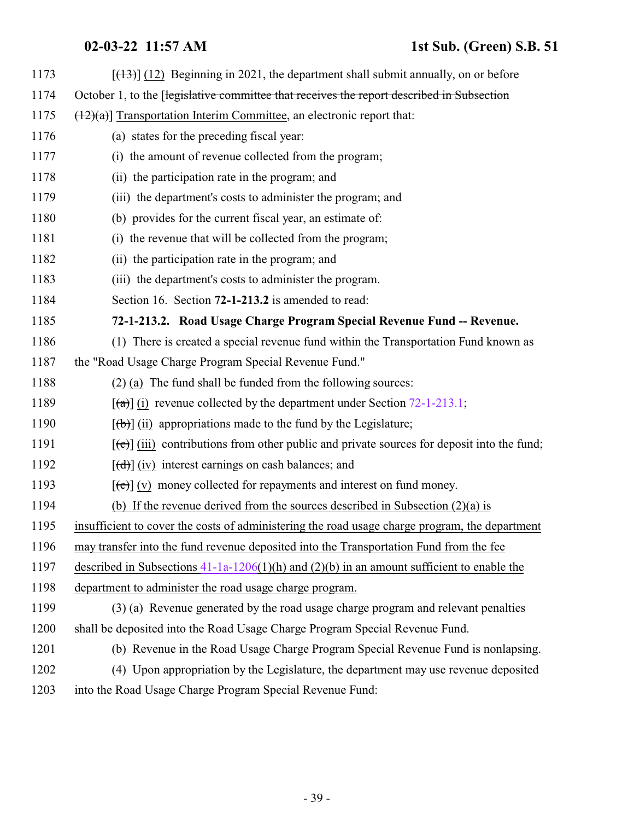## <span id="page-38-0"></span>**02-03-22 11:57 AM 1st Sub. (Green) S.B. 51**

| 1173 | $[ (13) ]$ (12) Beginning in 2021, the department shall submit annually, on or before              |
|------|----------------------------------------------------------------------------------------------------|
| 1174 | October 1, to the [legislative committee that receives the report described in Subsection          |
| 1175 | $(\frac{12}{a})$ ] Transportation Interim Committee, an electronic report that:                    |
| 1176 | (a) states for the preceding fiscal year:                                                          |
| 1177 | (i) the amount of revenue collected from the program;                                              |
| 1178 | (ii) the participation rate in the program; and                                                    |
| 1179 | (iii) the department's costs to administer the program; and                                        |
| 1180 | (b) provides for the current fiscal year, an estimate of:                                          |
| 1181 | (i) the revenue that will be collected from the program;                                           |
| 1182 | (ii) the participation rate in the program; and                                                    |
| 1183 | (iii) the department's costs to administer the program.                                            |
| 1184 | Section 16. Section 72-1-213.2 is amended to read:                                                 |
| 1185 | 72-1-213.2. Road Usage Charge Program Special Revenue Fund -- Revenue.                             |
| 1186 | (1) There is created a special revenue fund within the Transportation Fund known as                |
| 1187 | the "Road Usage Charge Program Special Revenue Fund."                                              |
| 1188 | $(2)$ (a) The fund shall be funded from the following sources:                                     |
| 1189 | $\lceil$ (a) (i) revenue collected by the department under Section 72-1-213.1;                     |
| 1190 | $[\phi]$ (ii) appropriations made to the fund by the Legislature;                                  |
| 1191 | $[\text{et}]$ (iii) contributions from other public and private sources for deposit into the fund; |
| 1192 | $[\text{d} \hat{\theta}]$ (iv) interest earnings on cash balances; and                             |
| 1193 | $[\text{e}(\text{e})]$ (v) money collected for repayments and interest on fund money.              |
| 1194 | (b) If the revenue derived from the sources described in Subsection $(2)(a)$ is                    |
| 1195 | insufficient to cover the costs of administering the road usage charge program, the department     |
| 1196 | may transfer into the fund revenue deposited into the Transportation Fund from the fee             |
| 1197 | described in Subsections $41-1a-1206(1)(h)$ and $(2)(b)$ in an amount sufficient to enable the     |
| 1198 | department to administer the road usage charge program.                                            |
| 1199 | (3) (a) Revenue generated by the road usage charge program and relevant penalties                  |
| 1200 | shall be deposited into the Road Usage Charge Program Special Revenue Fund.                        |
| 1201 | (b) Revenue in the Road Usage Charge Program Special Revenue Fund is nonlapsing.                   |
| 1202 | (4) Upon appropriation by the Legislature, the department may use revenue deposited                |
| 1203 | into the Road Usage Charge Program Special Revenue Fund:                                           |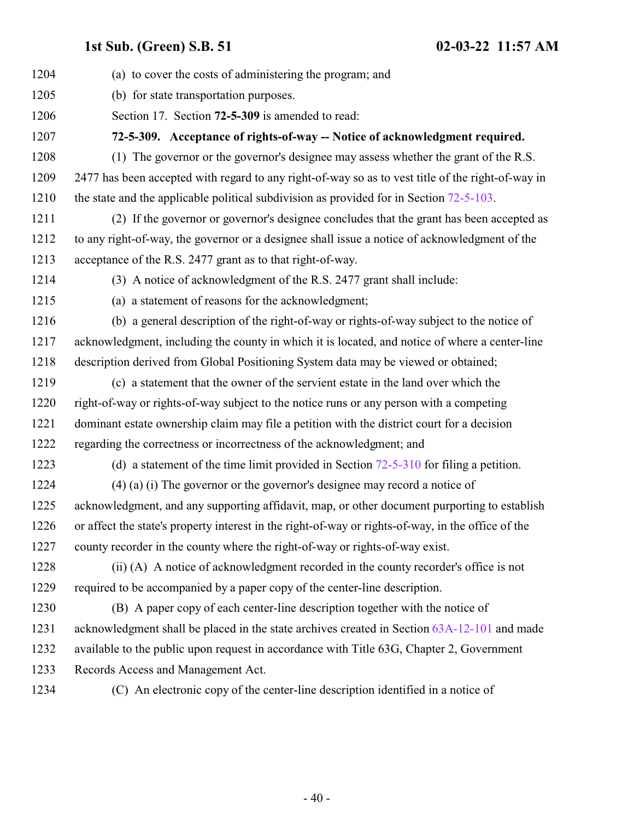<span id="page-39-0"></span>

| 1204 | (a) to cover the costs of administering the program; and                                           |
|------|----------------------------------------------------------------------------------------------------|
| 1205 | (b) for state transportation purposes.                                                             |
| 1206 | Section 17. Section 72-5-309 is amended to read:                                                   |
| 1207 | 72-5-309. Acceptance of rights-of-way -- Notice of acknowledgment required.                        |
| 1208 | (1) The governor or the governor's designee may assess whether the grant of the R.S.               |
| 1209 | 2477 has been accepted with regard to any right-of-way so as to vest title of the right-of-way in  |
| 1210 | the state and the applicable political subdivision as provided for in Section $72-5-103$ .         |
| 1211 | (2) If the governor or governor's designee concludes that the grant has been accepted as           |
| 1212 | to any right-of-way, the governor or a designee shall issue a notice of acknowledgment of the      |
| 1213 | acceptance of the R.S. 2477 grant as to that right-of-way.                                         |
| 1214 | (3) A notice of acknowledgment of the R.S. 2477 grant shall include:                               |
| 1215 | (a) a statement of reasons for the acknowledgment;                                                 |
| 1216 | (b) a general description of the right-of-way or rights-of-way subject to the notice of            |
| 1217 | acknowledgment, including the county in which it is located, and notice of where a center-line     |
| 1218 | description derived from Global Positioning System data may be viewed or obtained;                 |
| 1219 | (c) a statement that the owner of the servient estate in the land over which the                   |
| 1220 | right-of-way or rights-of-way subject to the notice runs or any person with a competing            |
| 1221 | dominant estate ownership claim may file a petition with the district court for a decision         |
| 1222 | regarding the correctness or incorrectness of the acknowledgment; and                              |
| 1223 | (d) a statement of the time limit provided in Section $72-5-310$ for filing a petition.            |
| 1224 | $(4)$ (a) (i) The governor or the governor's designee may record a notice of                       |
| 1225 | acknowledgment, and any supporting affidavit, map, or other document purporting to establish       |
| 1226 | or affect the state's property interest in the right-of-way or rights-of-way, in the office of the |
| 1227 | county recorder in the county where the right-of-way or rights-of-way exist.                       |
| 1228 | (ii) (A) A notice of acknowledgment recorded in the county recorder's office is not                |
| 1229 | required to be accompanied by a paper copy of the center-line description.                         |
| 1230 | (B) A paper copy of each center-line description together with the notice of                       |
| 1231 | acknowledgment shall be placed in the state archives created in Section 63A-12-101 and made        |
| 1232 | available to the public upon request in accordance with Title 63G, Chapter 2, Government           |
| 1233 | Records Access and Management Act.                                                                 |
| 1234 | (C) An electronic copy of the center-line description identified in a notice of                    |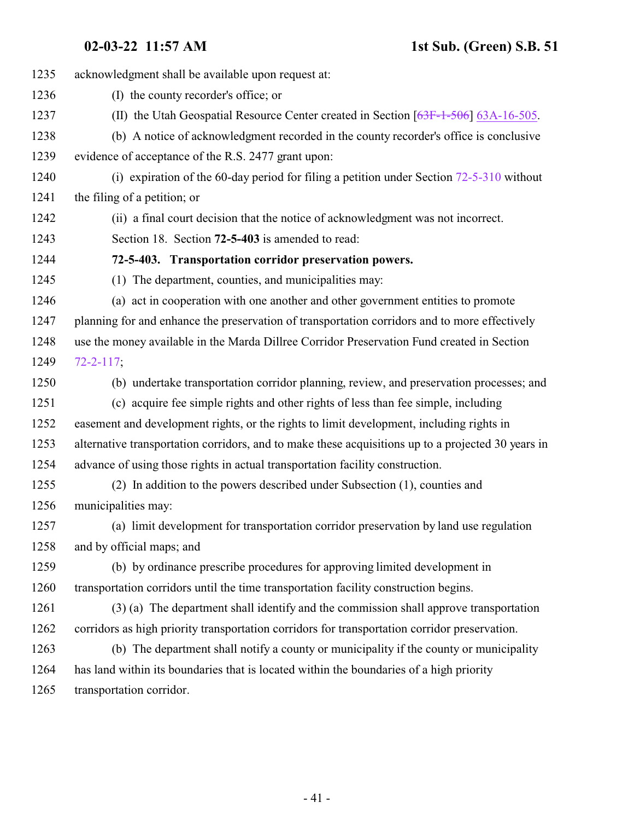<span id="page-40-0"></span>

| 1235 |                                                                                                    |
|------|----------------------------------------------------------------------------------------------------|
|      | acknowledgment shall be available upon request at:                                                 |
| 1236 | (I) the county recorder's office; or                                                               |
| 1237 | (II) the Utah Geospatial Resource Center created in Section $[63F-1-506]$ 63A-16-505.              |
| 1238 | (b) A notice of acknowledgment recorded in the county recorder's office is conclusive              |
| 1239 | evidence of acceptance of the R.S. 2477 grant upon:                                                |
| 1240 | (i) expiration of the 60-day period for filing a petition under Section $72-5-310$ without         |
| 1241 | the filing of a petition; or                                                                       |
| 1242 | (ii) a final court decision that the notice of acknowledgment was not incorrect.                   |
| 1243 | Section 18. Section 72-5-403 is amended to read:                                                   |
| 1244 | 72-5-403. Transportation corridor preservation powers.                                             |
| 1245 | (1) The department, counties, and municipalities may:                                              |
| 1246 | (a) act in cooperation with one another and other government entities to promote                   |
| 1247 | planning for and enhance the preservation of transportation corridors and to more effectively      |
| 1248 | use the money available in the Marda Dillree Corridor Preservation Fund created in Section         |
| 1249 | $72 - 2 - 117$ ;                                                                                   |
| 1250 | (b) undertake transportation corridor planning, review, and preservation processes; and            |
| 1251 | (c) acquire fee simple rights and other rights of less than fee simple, including                  |
| 1252 | easement and development rights, or the rights to limit development, including rights in           |
| 1253 | alternative transportation corridors, and to make these acquisitions up to a projected 30 years in |
| 1254 | advance of using those rights in actual transportation facility construction.                      |
| 1255 | (2) In addition to the powers described under Subsection (1), counties and                         |
| 1256 | municipalities may:                                                                                |
| 1257 | (a) limit development for transportation corridor preservation by land use regulation              |
| 1258 | and by official maps; and                                                                          |
| 1259 | (b) by ordinance prescribe procedures for approving limited development in                         |
| 1260 | transportation corridors until the time transportation facility construction begins.               |
| 1261 | (3) (a) The department shall identify and the commission shall approve transportation              |
| 1262 | corridors as high priority transportation corridors for transportation corridor preservation.      |
| 1263 | (b) The department shall notify a county or municipality if the county or municipality             |
| 1264 | has land within its boundaries that is located within the boundaries of a high priority            |
| 1265 | transportation corridor.                                                                           |
|      |                                                                                                    |